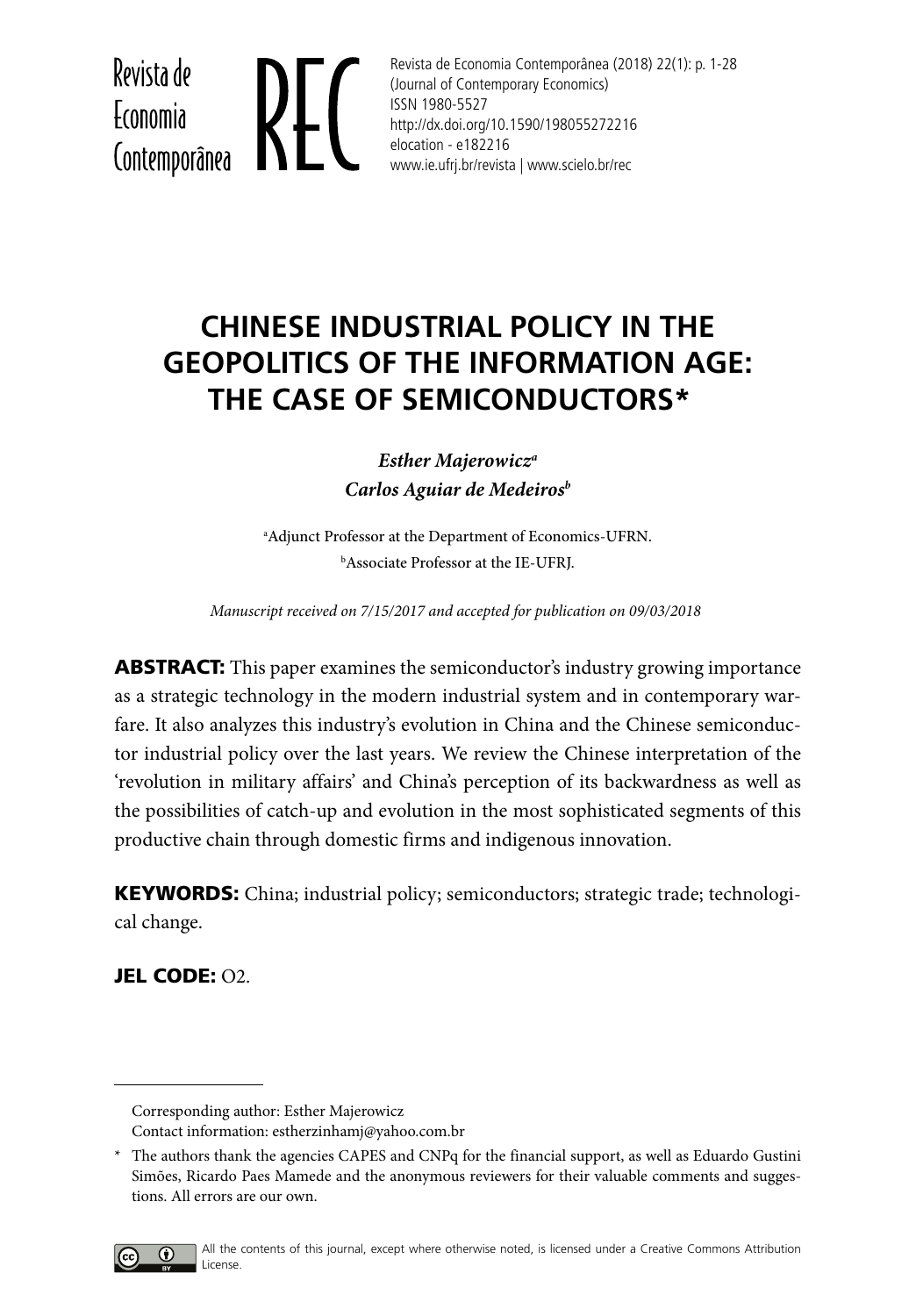Revista de Fronomia Contemporânea Revista de Economia Contemporânea (2018) 22(1): p. 1-28 (Journal of Contemporary Economics) ISSN 1980-5527 http://dx.doi.org/10.1590/198055272216 elocation - e182216 www.ie.ufrj.br/revista | www.scielo.br/rec

# **CHINESE INDUSTRIAL POLICY IN THE GEOPOLITICS OF THE INFORMATION AGE: THE CASE OF SEMICONDUCTORS\***

*Esther Majerowicza Carlos Aguiar de Medeirosb*

a Adjunct Professor at the Department of Economics-UFRN. b Associate Professor at the IE-UFRJ.

*Manuscript received on 7/15/2017 and accepted for publication on 09/03/2018* 

**ABSTRACT:** This paper examines the semiconductor's industry growing importance as a strategic technology in the modern industrial system and in contemporary warfare. It also analyzes this industry's evolution in China and the Chinese semiconductor industrial policy over the last years. We review the Chinese interpretation of the 'revolution in military affairs' and China's perception of its backwardness as well as the possibilities of catch-up and evolution in the most sophisticated segments of this productive chain through domestic firms and indigenous innovation.

KEYWORDS: China; industrial policy; semiconductors; strategic trade; technological change.

JEL CODE: 02.

<sup>\*</sup> The authors thank the agencies CAPES and CNPq for the financial support, as well as Eduardo Gustini Simões, Ricardo Paes Mamede and the anonymous reviewers for their valuable comments and suggestions. All errors are our own.



Corresponding author: Esther Majerowicz Contact information: estherzinhamj@yahoo.com.br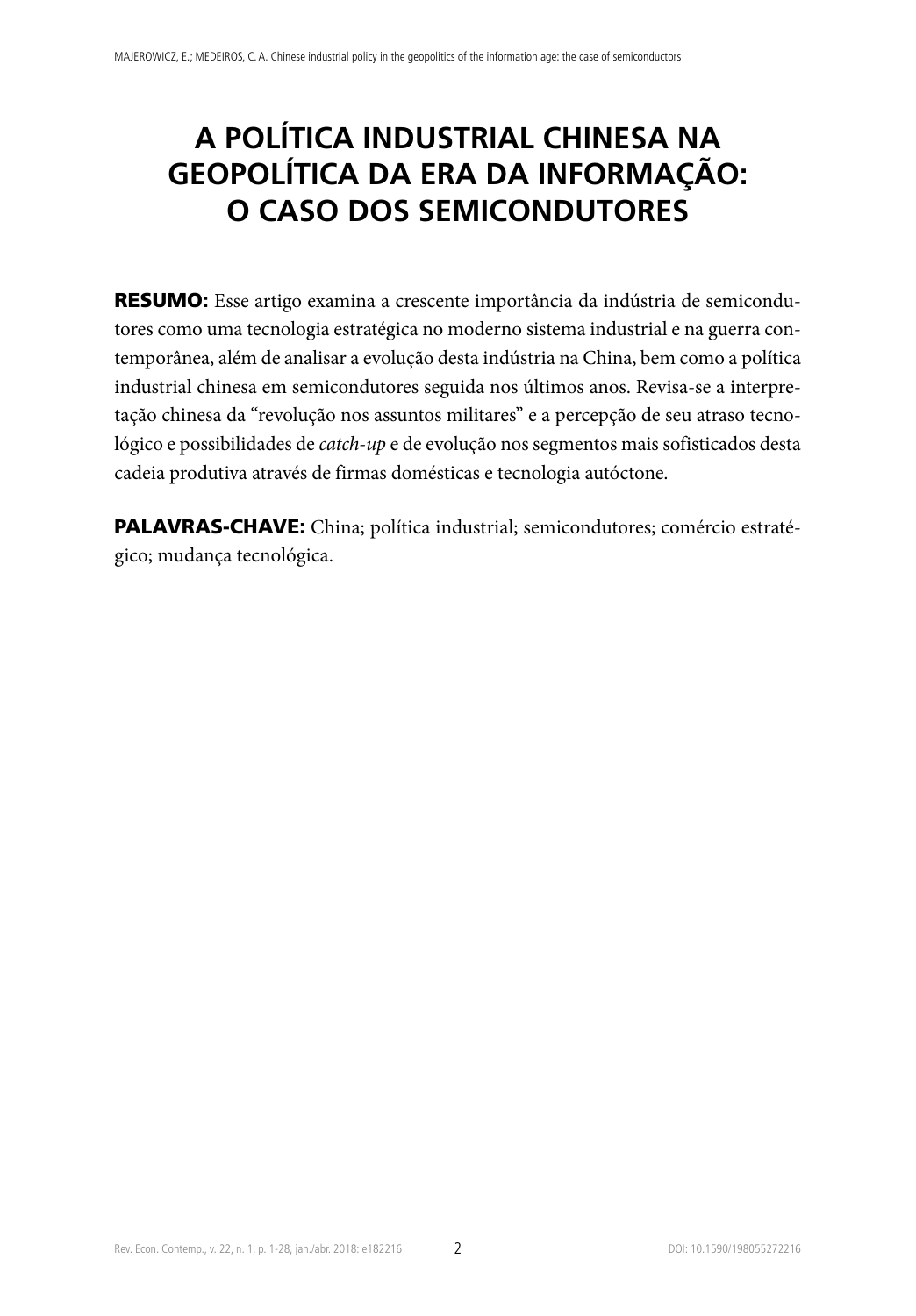# **A POLÍTICA INDUSTRIAL CHINESA NA GEOPOLÍTICA DA ERA DA INFORMAÇÃO: O CASO DOS SEMICONDUTORES**

RESUMO: Esse artigo examina a crescente importância da indústria de semicondutores como uma tecnologia estratégica no moderno sistema industrial e na guerra contemporânea, além de analisar a evolução desta indústria na China, bem como a política industrial chinesa em semicondutores seguida nos últimos anos. Revisa-se a interpretação chinesa da "revolução nos assuntos militares" e a percepção de seu atraso tecnológico e possibilidades de *catch-up* e de evolução nos segmentos mais sofisticados desta cadeia produtiva através de firmas domésticas e tecnologia autóctone.

PALAVRAS-CHAVE: China; política industrial; semicondutores; comércio estratégico; mudança tecnológica.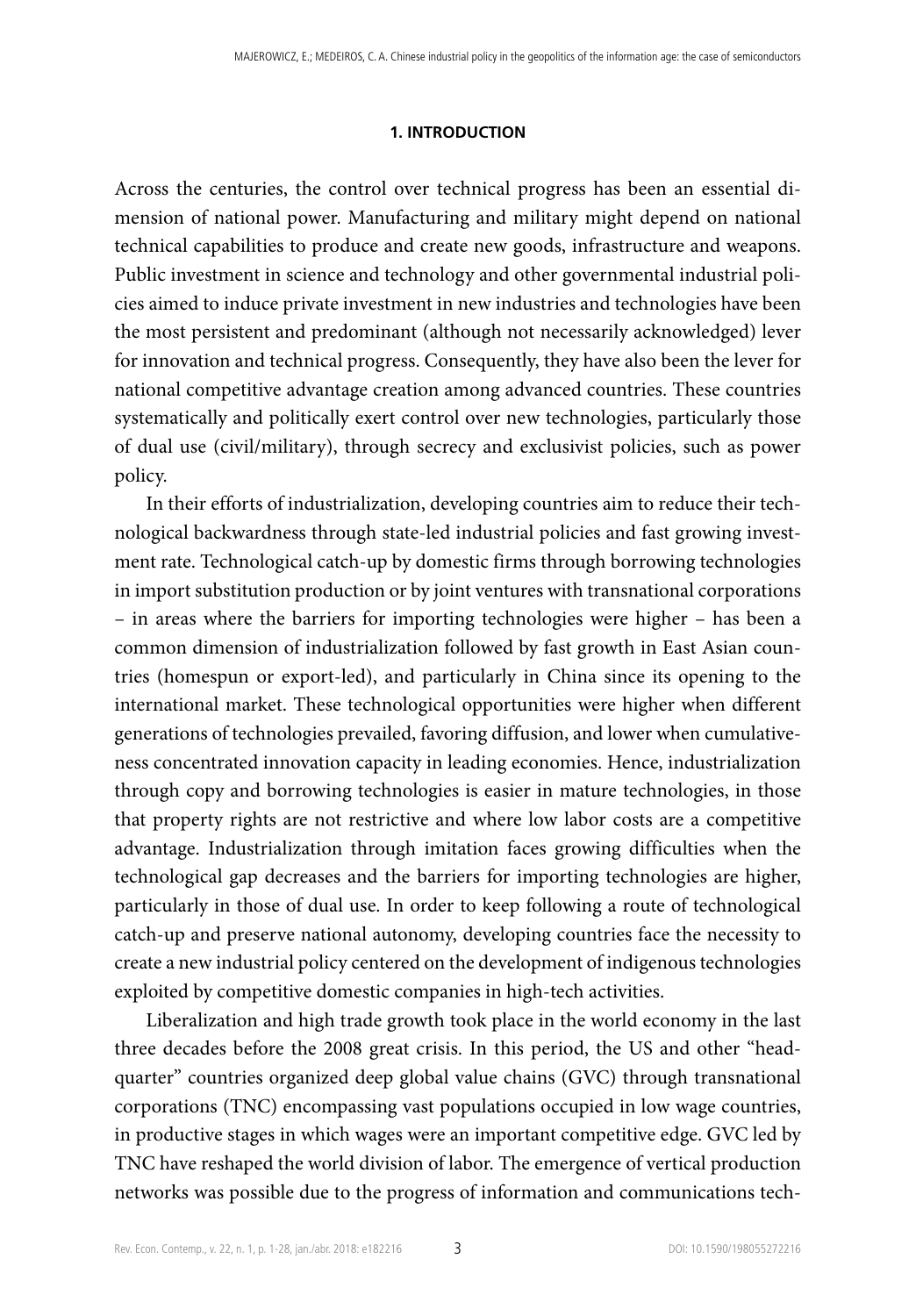#### **1. INTRODUCTION**

Across the centuries, the control over technical progress has been an essential dimension of national power. Manufacturing and military might depend on national technical capabilities to produce and create new goods, infrastructure and weapons. Public investment in science and technology and other governmental industrial policies aimed to induce private investment in new industries and technologies have been the most persistent and predominant (although not necessarily acknowledged) lever for innovation and technical progress. Consequently, they have also been the lever for national competitive advantage creation among advanced countries. These countries systematically and politically exert control over new technologies, particularly those of dual use (civil/military), through secrecy and exclusivist policies, such as power policy.

In their efforts of industrialization, developing countries aim to reduce their technological backwardness through state-led industrial policies and fast growing investment rate. Technological catch-up by domestic firms through borrowing technologies in import substitution production or by joint ventures with transnational corporations – in areas where the barriers for importing technologies were higher – has been a common dimension of industrialization followed by fast growth in East Asian countries (homespun or export-led), and particularly in China since its opening to the international market. These technological opportunities were higher when different generations of technologies prevailed, favoring diffusion, and lower when cumulativeness concentrated innovation capacity in leading economies. Hence, industrialization through copy and borrowing technologies is easier in mature technologies, in those that property rights are not restrictive and where low labor costs are a competitive advantage. Industrialization through imitation faces growing difficulties when the technological gap decreases and the barriers for importing technologies are higher, particularly in those of dual use. In order to keep following a route of technological catch-up and preserve national autonomy, developing countries face the necessity to create a new industrial policy centered on the development of indigenous technologies exploited by competitive domestic companies in high-tech activities.

Liberalization and high trade growth took place in the world economy in the last three decades before the 2008 great crisis. In this period, the US and other "headquarter" countries organized deep global value chains (GVC) through transnational corporations (TNC) encompassing vast populations occupied in low wage countries, in productive stages in which wages were an important competitive edge. GVC led by TNC have reshaped the world division of labor. The emergence of vertical production networks was possible due to the progress of information and communications tech-

3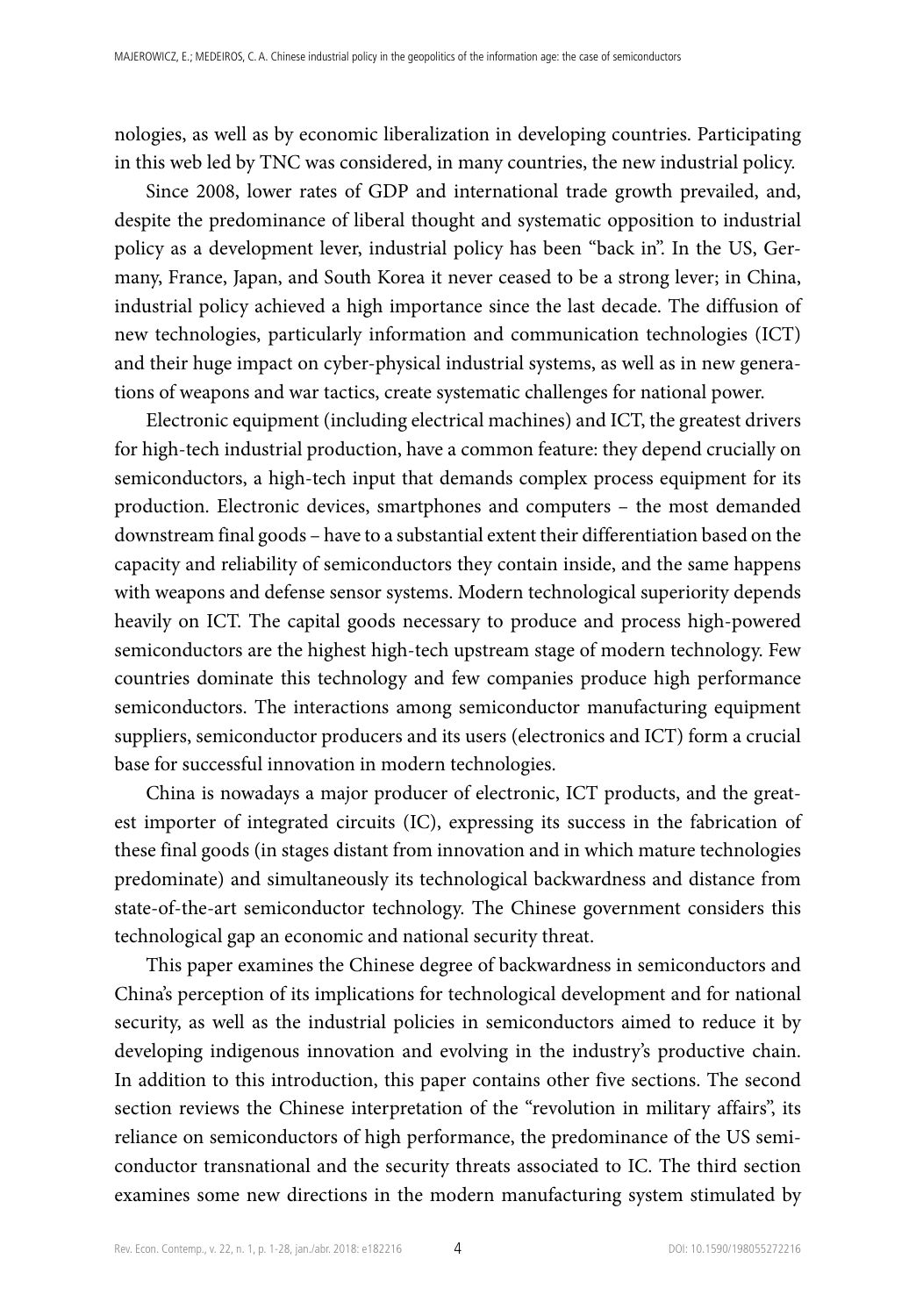nologies, as well as by economic liberalization in developing countries. Participating in this web led by TNC was considered, in many countries, the new industrial policy.

Since 2008, lower rates of GDP and international trade growth prevailed, and, despite the predominance of liberal thought and systematic opposition to industrial policy as a development lever, industrial policy has been "back in". In the US, Germany, France, Japan, and South Korea it never ceased to be a strong lever; in China, industrial policy achieved a high importance since the last decade. The diffusion of new technologies, particularly information and communication technologies (ICT) and their huge impact on cyber-physical industrial systems, as well as in new generations of weapons and war tactics, create systematic challenges for national power.

Electronic equipment (including electrical machines) and ICT, the greatest drivers for high-tech industrial production, have a common feature: they depend crucially on semiconductors, a high-tech input that demands complex process equipment for its production. Electronic devices, smartphones and computers – the most demanded downstream final goods – have to a substantial extent their differentiation based on the capacity and reliability of semiconductors they contain inside, and the same happens with weapons and defense sensor systems. Modern technological superiority depends heavily on ICT. The capital goods necessary to produce and process high-powered semiconductors are the highest high-tech upstream stage of modern technology. Few countries dominate this technology and few companies produce high performance semiconductors. The interactions among semiconductor manufacturing equipment suppliers, semiconductor producers and its users (electronics and ICT) form a crucial base for successful innovation in modern technologies.

China is nowadays a major producer of electronic, ICT products, and the greatest importer of integrated circuits (IC), expressing its success in the fabrication of these final goods (in stages distant from innovation and in which mature technologies predominate) and simultaneously its technological backwardness and distance from state-of-the-art semiconductor technology. The Chinese government considers this technological gap an economic and national security threat.

This paper examines the Chinese degree of backwardness in semiconductors and China's perception of its implications for technological development and for national security, as well as the industrial policies in semiconductors aimed to reduce it by developing indigenous innovation and evolving in the industry's productive chain. In addition to this introduction, this paper contains other five sections. The second section reviews the Chinese interpretation of the "revolution in military affairs", its reliance on semiconductors of high performance, the predominance of the US semiconductor transnational and the security threats associated to IC. The third section examines some new directions in the modern manufacturing system stimulated by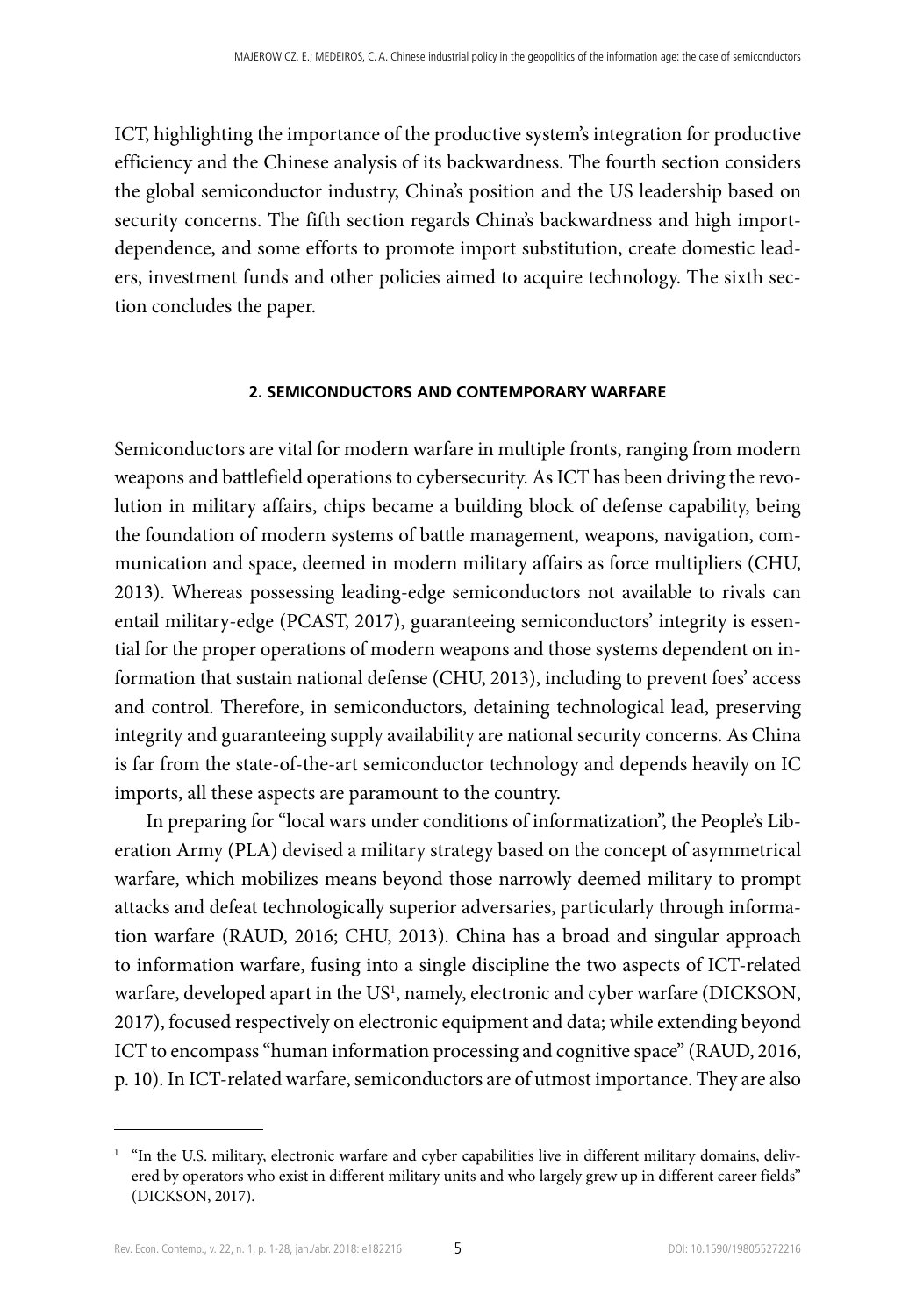ICT, highlighting the importance of the productive system's integration for productive efficiency and the Chinese analysis of its backwardness. The fourth section considers the global semiconductor industry, China's position and the US leadership based on security concerns. The fifth section regards China's backwardness and high importdependence, and some efforts to promote import substitution, create domestic leaders, investment funds and other policies aimed to acquire technology. The sixth section concludes the paper.

## **2. SEMICONDUCTORS AND CONTEMPORARY WARFARE**

Semiconductors are vital for modern warfare in multiple fronts, ranging from modern weapons and battlefield operations to cybersecurity. As ICT has been driving the revolution in military affairs, chips became a building block of defense capability, being the foundation of modern systems of battle management, weapons, navigation, communication and space, deemed in modern military affairs as force multipliers (CHU, 2013). Whereas possessing leading-edge semiconductors not available to rivals can entail military-edge (PCAST, 2017), guaranteeing semiconductors' integrity is essential for the proper operations of modern weapons and those systems dependent on information that sustain national defense (CHU, 2013), including to prevent foes' access and control. Therefore, in semiconductors, detaining technological lead, preserving integrity and guaranteeing supply availability are national security concerns. As China is far from the state-of-the-art semiconductor technology and depends heavily on IC imports, all these aspects are paramount to the country.

In preparing for "local wars under conditions of informatization", the People's Liberation Army (PLA) devised a military strategy based on the concept of asymmetrical warfare, which mobilizes means beyond those narrowly deemed military to prompt attacks and defeat technologically superior adversaries, particularly through information warfare (RAUD, 2016; CHU, 2013). China has a broad and singular approach to information warfare, fusing into a single discipline the two aspects of ICT-related warfare, developed apart in the US1 , namely, electronic and cyber warfare (DICKSON, 2017), focused respectively on electronic equipment and data; while extending beyond ICT to encompass "human information processing and cognitive space" (RAUD, 2016, p. 10). In ICT-related warfare, semiconductors are of utmost importance. They are also

<sup>&</sup>lt;sup>1</sup> "In the U.S. military, electronic warfare and cyber capabilities live in different military domains, delivered by operators who exist in different military units and who largely grew up in different career fields" (DICKSON, 2017).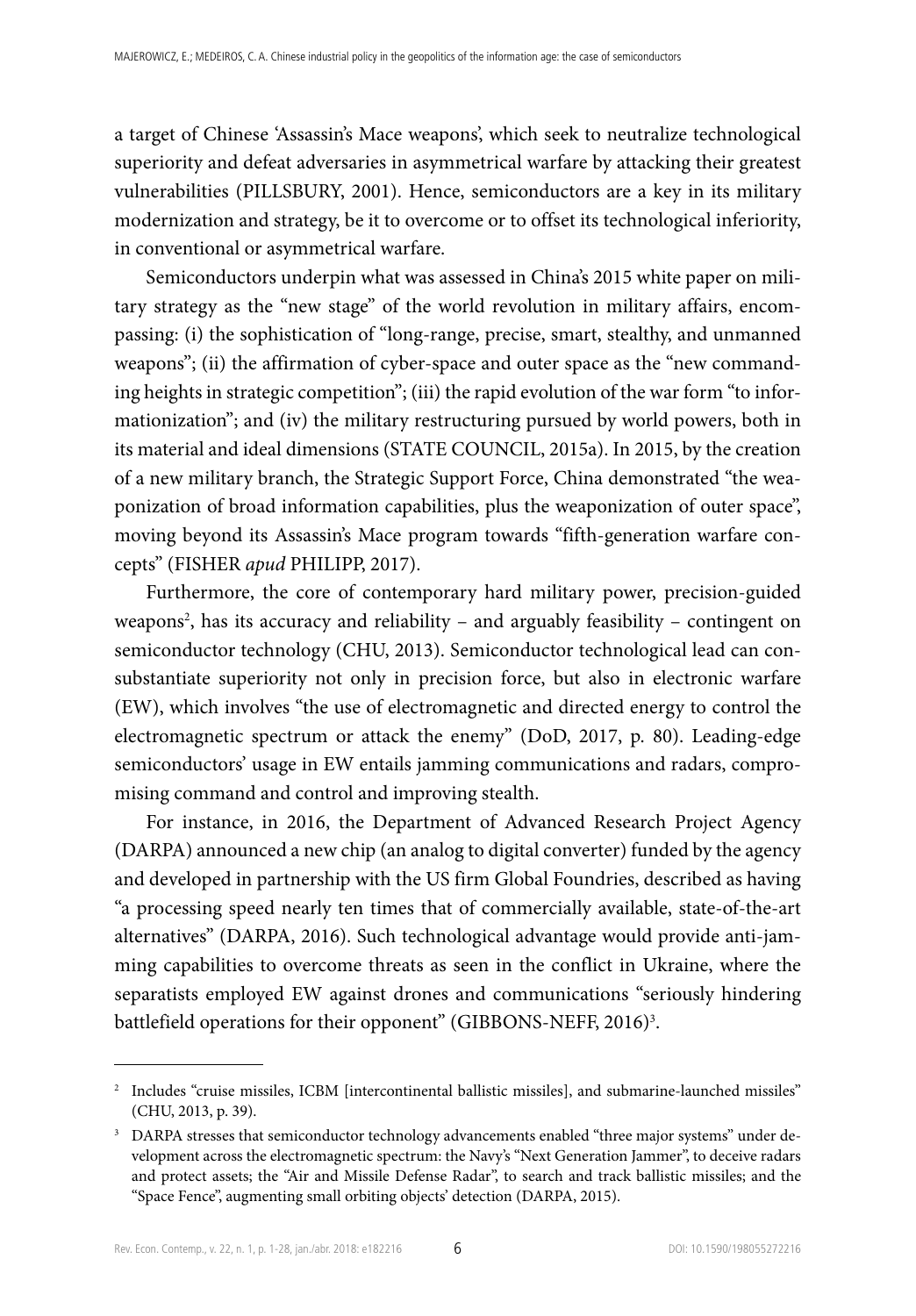a target of Chinese 'Assassin's Mace weapons', which seek to neutralize technological superiority and defeat adversaries in asymmetrical warfare by attacking their greatest vulnerabilities (PILLSBURY, 2001). Hence, semiconductors are a key in its military modernization and strategy, be it to overcome or to offset its technological inferiority, in conventional or asymmetrical warfare.

Semiconductors underpin what was assessed in China's 2015 white paper on military strategy as the "new stage" of the world revolution in military affairs, encompassing: (i) the sophistication of "long-range, precise, smart, stealthy, and unmanned weapons"; (ii) the affirmation of cyber-space and outer space as the "new commanding heights in strategic competition"; (iii) the rapid evolution of the war form "to informationization"; and (iv) the military restructuring pursued by world powers, both in its material and ideal dimensions (STATE COUNCIL, 2015a). In 2015, by the creation of a new military branch, the Strategic Support Force, China demonstrated "the weaponization of broad information capabilities, plus the weaponization of outer space", moving beyond its Assassin's Mace program towards "fifth-generation warfare concepts" (FISHER *apud* PHILIPP, 2017).

Furthermore, the core of contemporary hard military power, precision-guided weapons<sup>2</sup>, has its accuracy and reliability – and arguably feasibility – contingent on semiconductor technology (CHU, 2013). Semiconductor technological lead can consubstantiate superiority not only in precision force, but also in electronic warfare (EW), which involves "the use of electromagnetic and directed energy to control the electromagnetic spectrum or attack the enemy" (DoD, 2017, p. 80). Leading-edge semiconductors' usage in EW entails jamming communications and radars, compromising command and control and improving stealth.

For instance, in 2016, the Department of Advanced Research Project Agency (DARPA) announced a new chip (an analog to digital converter) funded by the agency and developed in partnership with the US firm Global Foundries, described as having "a processing speed nearly ten times that of commercially available, state-of-the-art alternatives" (DARPA, 2016). Such technological advantage would provide anti-jamming capabilities to overcome threats as seen in the conflict in Ukraine, where the separatists employed EW against drones and communications "seriously hindering battlefield operations for their opponent" (GIBBONS-NEFF, 2016)<sup>3</sup>.

<sup>&</sup>lt;sup>2</sup> Includes "cruise missiles, ICBM [intercontinental ballistic missiles], and submarine-launched missiles" (CHU, 2013, p. 39).

<sup>&</sup>lt;sup>3</sup> DARPA stresses that semiconductor technology advancements enabled "three major systems" under development across the electromagnetic spectrum: the Navy's "Next Generation Jammer", to deceive radars and protect assets; the "Air and Missile Defense Radar", to search and track ballistic missiles; and the "Space Fence", augmenting small orbiting objects' detection (DARPA, 2015).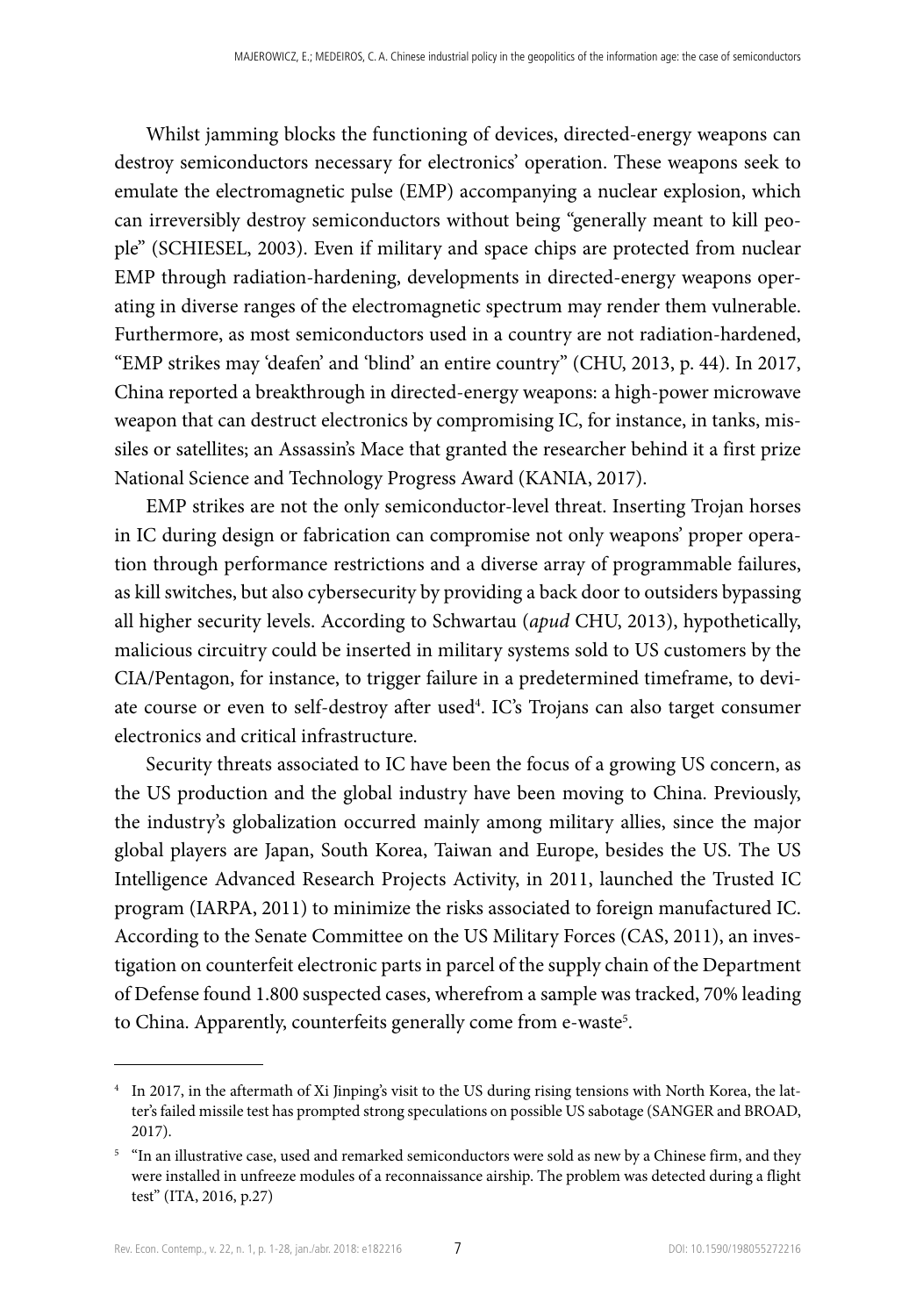Whilst jamming blocks the functioning of devices, directed-energy weapons can destroy semiconductors necessary for electronics' operation. These weapons seek to emulate the electromagnetic pulse (EMP) accompanying a nuclear explosion, which can irreversibly destroy semiconductors without being "generally meant to kill people" (SCHIESEL, 2003). Even if military and space chips are protected from nuclear EMP through radiation-hardening, developments in directed-energy weapons operating in diverse ranges of the electromagnetic spectrum may render them vulnerable. Furthermore, as most semiconductors used in a country are not radiation-hardened, "EMP strikes may 'deafen' and 'blind' an entire country" (CHU, 2013, p. 44). In 2017, China reported a breakthrough in directed-energy weapons: a high-power microwave weapon that can destruct electronics by compromising IC, for instance, in tanks, missiles or satellites; an Assassin's Mace that granted the researcher behind it a first prize National Science and Technology Progress Award (KANIA, 2017).

EMP strikes are not the only semiconductor-level threat. Inserting Trojan horses in IC during design or fabrication can compromise not only weapons' proper operation through performance restrictions and a diverse array of programmable failures, as kill switches, but also cybersecurity by providing a back door to outsiders bypassing all higher security levels. According to Schwartau (*apud* CHU, 2013), hypothetically, malicious circuitry could be inserted in military systems sold to US customers by the CIA/Pentagon, for instance, to trigger failure in a predetermined timeframe, to deviate course or even to self-destroy after used<sup>4</sup>. IC's Trojans can also target consumer electronics and critical infrastructure.

Security threats associated to IC have been the focus of a growing US concern, as the US production and the global industry have been moving to China. Previously, the industry's globalization occurred mainly among military allies, since the major global players are Japan, South Korea, Taiwan and Europe, besides the US. The US Intelligence Advanced Research Projects Activity, in 2011, launched the Trusted IC program (IARPA, 2011) to minimize the risks associated to foreign manufactured IC. According to the Senate Committee on the US Military Forces (CAS, 2011), an investigation on counterfeit electronic parts in parcel of the supply chain of the Department of Defense found 1.800 suspected cases, wherefrom a sample was tracked, 70% leading to China. Apparently, counterfeits generally come from e-waste<sup>5</sup>.

<sup>4</sup> In 2017, in the aftermath of Xi Jinping's visit to the US during rising tensions with North Korea, the latter's failed missile test has prompted strong speculations on possible US sabotage (SANGER and BROAD, 2017).

<sup>&</sup>lt;sup>5</sup> "In an illustrative case, used and remarked semiconductors were sold as new by a Chinese firm, and they were installed in unfreeze modules of a reconnaissance airship. The problem was detected during a flight test" (ITA, 2016, p.27)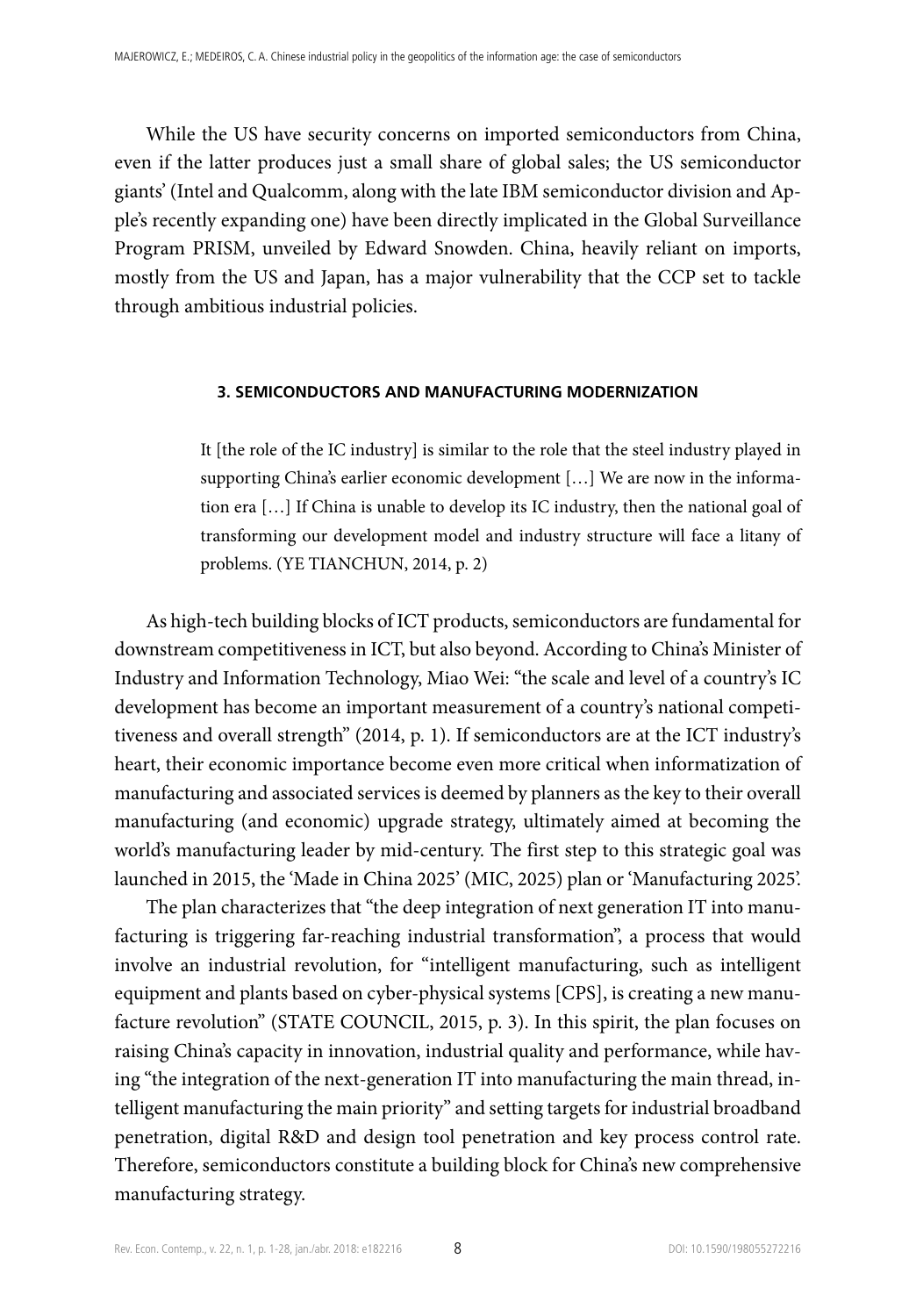While the US have security concerns on imported semiconductors from China, even if the latter produces just a small share of global sales; the US semiconductor giants' (Intel and Qualcomm, along with the late IBM semiconductor division and Apple's recently expanding one) have been directly implicated in the Global Surveillance Program PRISM, unveiled by Edward Snowden. China, heavily reliant on imports, mostly from the US and Japan, has a major vulnerability that the CCP set to tackle through ambitious industrial policies.

### **3. SEMICONDUCTORS AND MANUFACTURING MODERNIZATION**

It [the role of the IC industry] is similar to the role that the steel industry played in supporting China's earlier economic development […] We are now in the information era […] If China is unable to develop its IC industry, then the national goal of transforming our development model and industry structure will face a litany of problems. (YE TIANCHUN, 2014, p. 2)

As high-tech building blocks of ICT products, semiconductors are fundamental for downstream competitiveness in ICT, but also beyond. According to China's Minister of Industry and Information Technology, Miao Wei: "the scale and level of a country's IC development has become an important measurement of a country's national competitiveness and overall strength" (2014, p. 1). If semiconductors are at the ICT industry's heart, their economic importance become even more critical when informatization of manufacturing and associated services is deemed by planners as the key to their overall manufacturing (and economic) upgrade strategy, ultimately aimed at becoming the world's manufacturing leader by mid-century. The first step to this strategic goal was launched in 2015, the 'Made in China 2025' (MIC, 2025) plan or 'Manufacturing 2025'.

The plan characterizes that "the deep integration of next generation IT into manufacturing is triggering far-reaching industrial transformation", a process that would involve an industrial revolution, for "intelligent manufacturing, such as intelligent equipment and plants based on cyber-physical systems [CPS], is creating a new manufacture revolution" (STATE COUNCIL, 2015, p. 3). In this spirit, the plan focuses on raising China's capacity in innovation, industrial quality and performance, while having "the integration of the next-generation IT into manufacturing the main thread, intelligent manufacturing the main priority" and setting targets for industrial broadband penetration, digital R&D and design tool penetration and key process control rate. Therefore, semiconductors constitute a building block for China's new comprehensive manufacturing strategy.

8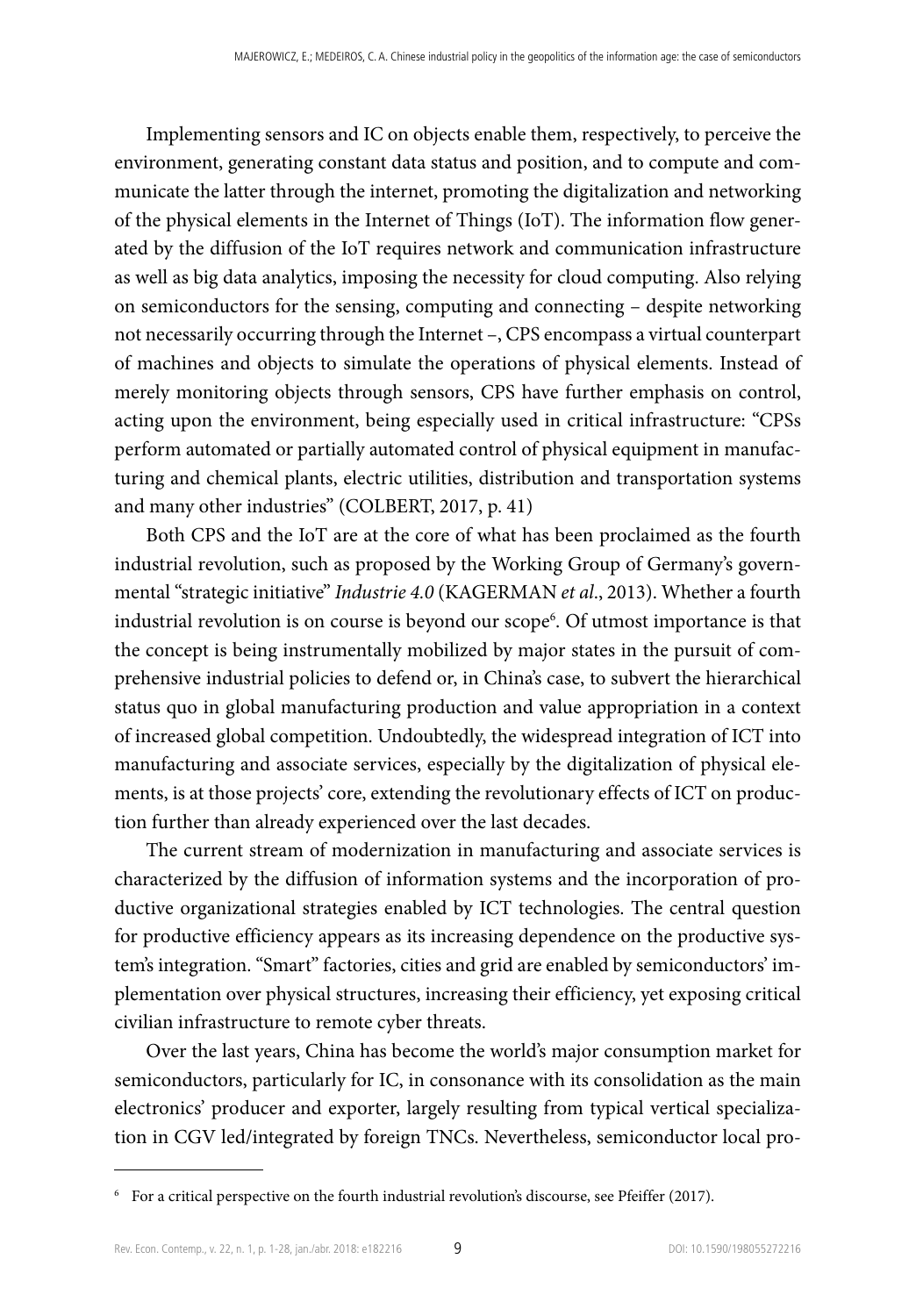Implementing sensors and IC on objects enable them, respectively, to perceive the environment, generating constant data status and position, and to compute and communicate the latter through the internet, promoting the digitalization and networking of the physical elements in the Internet of Things (IoT). The information flow generated by the diffusion of the IoT requires network and communication infrastructure as well as big data analytics, imposing the necessity for cloud computing. Also relying on semiconductors for the sensing, computing and connecting – despite networking not necessarily occurring through the Internet –, CPS encompass a virtual counterpart of machines and objects to simulate the operations of physical elements. Instead of merely monitoring objects through sensors, CPS have further emphasis on control, acting upon the environment, being especially used in critical infrastructure: "CPSs perform automated or partially automated control of physical equipment in manufacturing and chemical plants, electric utilities, distribution and transportation systems and many other industries" (COLBERT, 2017, p. 41)

Both CPS and the IoT are at the core of what has been proclaimed as the fourth industrial revolution, such as proposed by the Working Group of Germany's governmental "strategic initiative" *Industrie 4.0* (KAGERMAN *et al*., 2013). Whether a fourth industrial revolution is on course is beyond our scope<sup>6</sup>. Of utmost importance is that the concept is being instrumentally mobilized by major states in the pursuit of comprehensive industrial policies to defend or, in China's case, to subvert the hierarchical status quo in global manufacturing production and value appropriation in a context of increased global competition. Undoubtedly, the widespread integration of ICT into manufacturing and associate services, especially by the digitalization of physical elements, is at those projects' core, extending the revolutionary effects of ICT on production further than already experienced over the last decades.

The current stream of modernization in manufacturing and associate services is characterized by the diffusion of information systems and the incorporation of productive organizational strategies enabled by ICT technologies. The central question for productive efficiency appears as its increasing dependence on the productive system's integration. "Smart" factories, cities and grid are enabled by semiconductors' implementation over physical structures, increasing their efficiency, yet exposing critical civilian infrastructure to remote cyber threats.

Over the last years, China has become the world's major consumption market for semiconductors, particularly for IC, in consonance with its consolidation as the main electronics' producer and exporter, largely resulting from typical vertical specialization in CGV led/integrated by foreign TNCs. Nevertheless, semiconductor local pro-

<sup>6</sup> For a critical perspective on the fourth industrial revolution's discourse, see Pfeiffer (2017).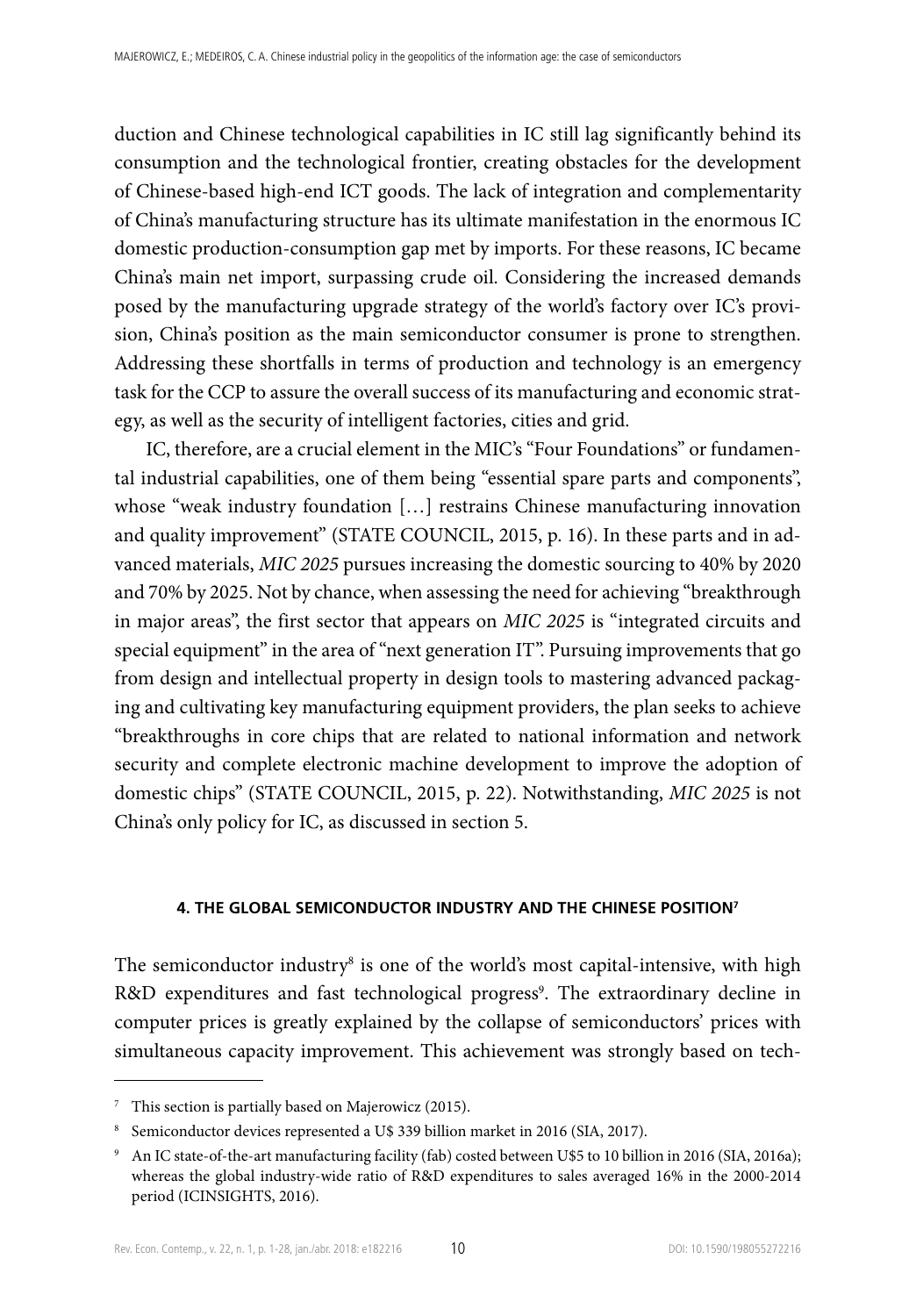duction and Chinese technological capabilities in IC still lag significantly behind its consumption and the technological frontier, creating obstacles for the development of Chinese-based high-end ICT goods. The lack of integration and complementarity of China's manufacturing structure has its ultimate manifestation in the enormous IC domestic production-consumption gap met by imports. For these reasons, IC became China's main net import, surpassing crude oil. Considering the increased demands posed by the manufacturing upgrade strategy of the world's factory over IC's provision, China's position as the main semiconductor consumer is prone to strengthen. Addressing these shortfalls in terms of production and technology is an emergency task for the CCP to assure the overall success of its manufacturing and economic strategy, as well as the security of intelligent factories, cities and grid.

IC, therefore, are a crucial element in the MIC's "Four Foundations" or fundamental industrial capabilities, one of them being "essential spare parts and components", whose "weak industry foundation […] restrains Chinese manufacturing innovation and quality improvement" (STATE COUNCIL, 2015, p. 16). In these parts and in advanced materials, *MIC 2025* pursues increasing the domestic sourcing to 40% by 2020 and 70% by 2025. Not by chance, when assessing the need for achieving "breakthrough in major areas", the first sector that appears on *MIC 2025* is "integrated circuits and special equipment" in the area of "next generation IT". Pursuing improvements that go from design and intellectual property in design tools to mastering advanced packaging and cultivating key manufacturing equipment providers, the plan seeks to achieve "breakthroughs in core chips that are related to national information and network security and complete electronic machine development to improve the adoption of domestic chips" (STATE COUNCIL, 2015, p. 22). Notwithstanding, *MIC 2025* is not China's only policy for IC, as discussed in section 5.

#### **4. THE GLOBAL SEMICONDUCTOR INDUSTRY AND THE CHINESE POSITION7**

The semiconductor industry<sup>8</sup> is one of the world's most capital-intensive, with high R&D expenditures and fast technological progress<sup>9</sup>. The extraordinary decline in computer prices is greatly explained by the collapse of semiconductors' prices with simultaneous capacity improvement. This achievement was strongly based on tech-

<sup>7</sup> This section is partially based on Majerowicz (2015).

<sup>8</sup> Semiconductor devices represented a U\$ 339 billion market in 2016 (SIA, 2017).

<sup>9</sup> An IC state-of-the-art manufacturing facility (fab) costed between U\$5 to 10 billion in 2016 (SIA, 2016a); whereas the global industry-wide ratio of R&D expenditures to sales averaged 16% in the 2000-2014 period (ICINSIGHTS, 2016).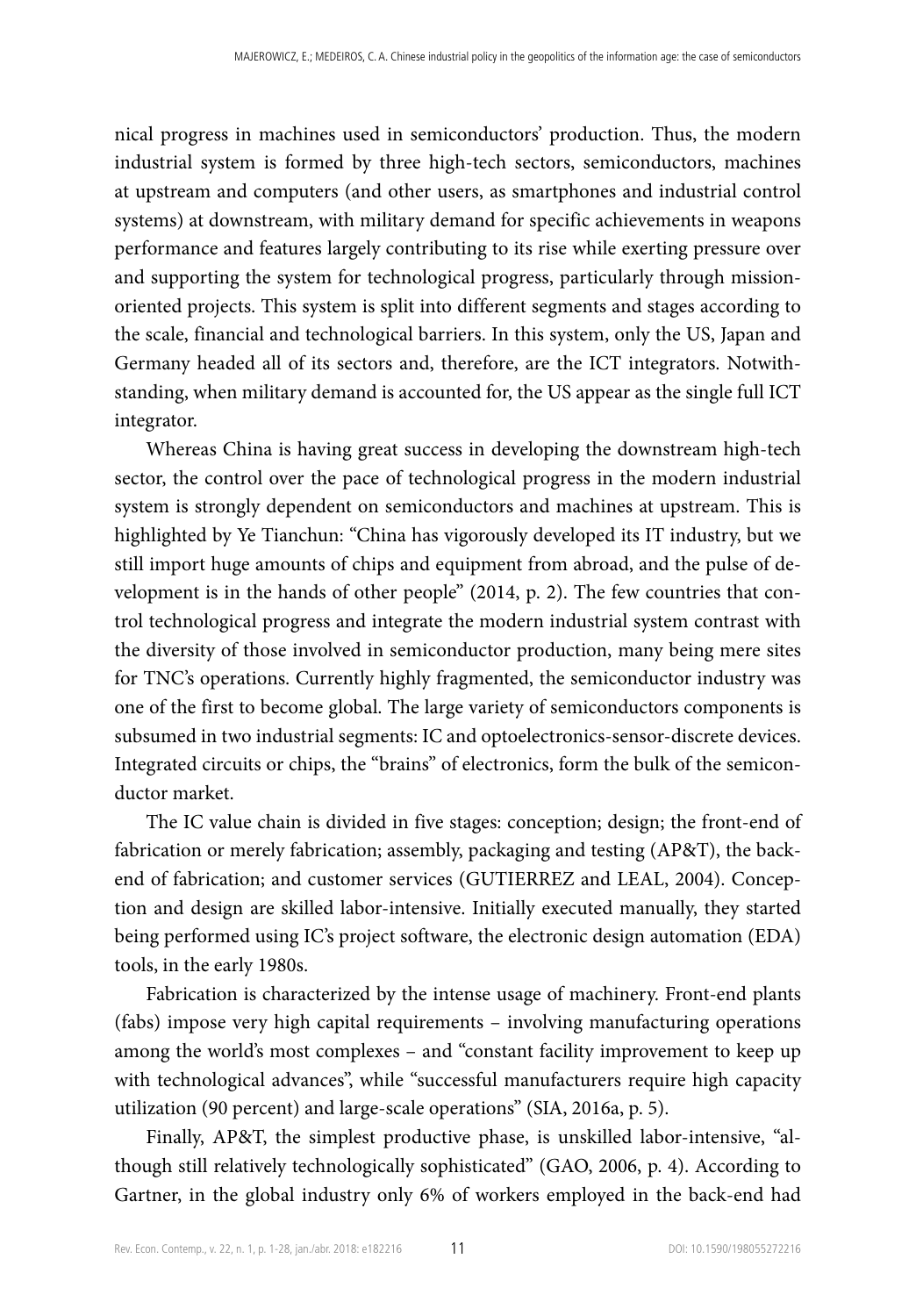nical progress in machines used in semiconductors' production. Thus, the modern industrial system is formed by three high-tech sectors, semiconductors, machines at upstream and computers (and other users, as smartphones and industrial control systems) at downstream, with military demand for specific achievements in weapons performance and features largely contributing to its rise while exerting pressure over and supporting the system for technological progress, particularly through missionoriented projects. This system is split into different segments and stages according to the scale, financial and technological barriers. In this system, only the US, Japan and Germany headed all of its sectors and, therefore, are the ICT integrators. Notwithstanding, when military demand is accounted for, the US appear as the single full ICT integrator.

Whereas China is having great success in developing the downstream high-tech sector, the control over the pace of technological progress in the modern industrial system is strongly dependent on semiconductors and machines at upstream. This is highlighted by Ye Tianchun: "China has vigorously developed its IT industry, but we still import huge amounts of chips and equipment from abroad, and the pulse of development is in the hands of other people" (2014, p. 2). The few countries that control technological progress and integrate the modern industrial system contrast with the diversity of those involved in semiconductor production, many being mere sites for TNC's operations. Currently highly fragmented, the semiconductor industry was one of the first to become global. The large variety of semiconductors components is subsumed in two industrial segments: IC and optoelectronics-sensor-discrete devices. Integrated circuits or chips, the "brains" of electronics, form the bulk of the semiconductor market.

The IC value chain is divided in five stages: conception; design; the front-end of fabrication or merely fabrication; assembly, packaging and testing (AP&T), the backend of fabrication; and customer services (GUTIERREZ and LEAL, 2004). Conception and design are skilled labor-intensive. Initially executed manually, they started being performed using IC's project software, the electronic design automation (EDA) tools, in the early 1980s.

Fabrication is characterized by the intense usage of machinery. Front-end plants (fabs) impose very high capital requirements – involving manufacturing operations among the world's most complexes – and "constant facility improvement to keep up with technological advances", while "successful manufacturers require high capacity utilization (90 percent) and large-scale operations" (SIA, 2016a, p. 5).

Finally, AP&T, the simplest productive phase, is unskilled labor-intensive, "although still relatively technologically sophisticated" (GAO, 2006, p. 4). According to Gartner, in the global industry only 6% of workers employed in the back-end had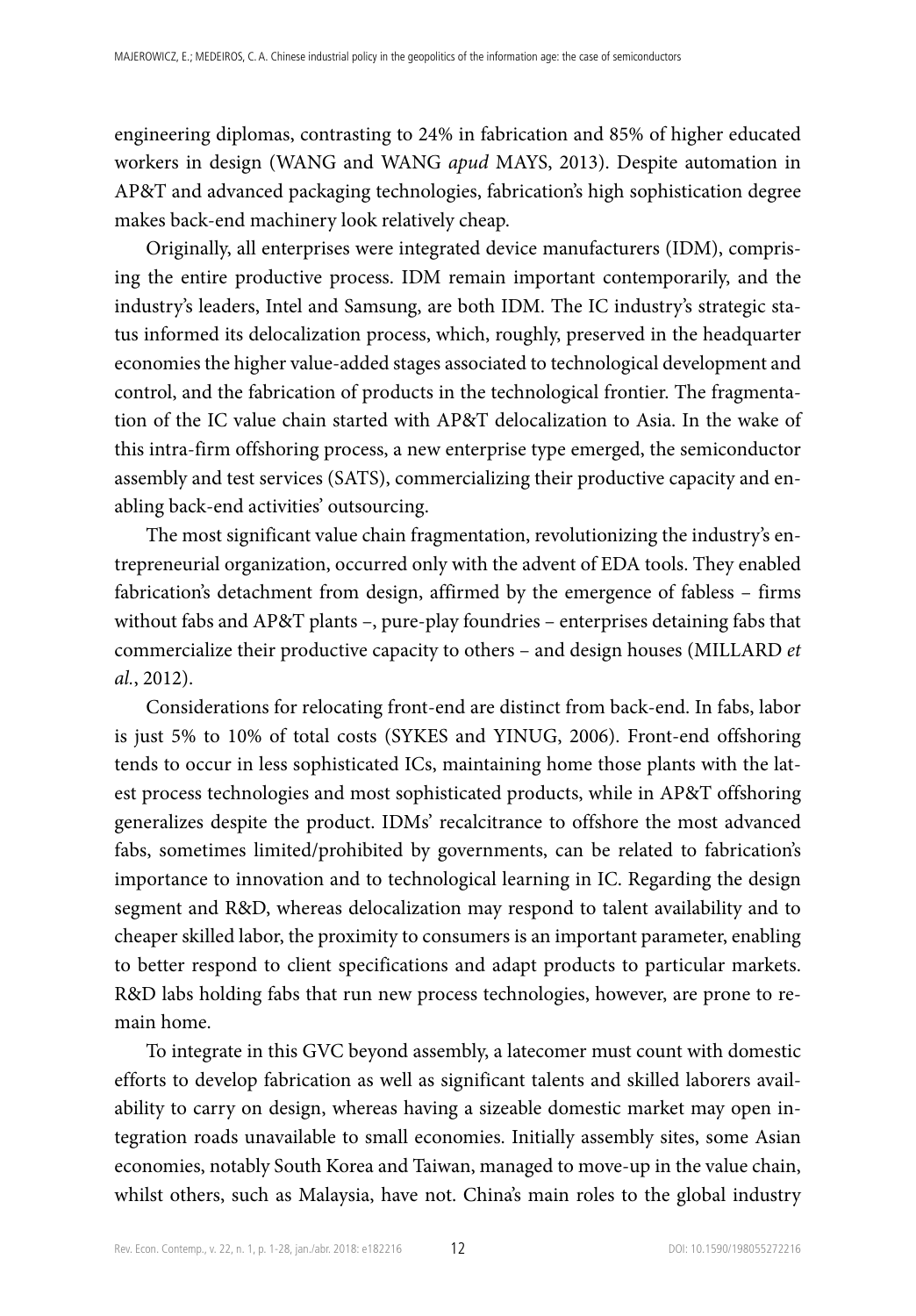engineering diplomas, contrasting to 24% in fabrication and 85% of higher educated workers in design (WANG and WANG *apud* MAYS, 2013). Despite automation in AP&T and advanced packaging technologies, fabrication's high sophistication degree makes back-end machinery look relatively cheap.

Originally, all enterprises were integrated device manufacturers (IDM), comprising the entire productive process. IDM remain important contemporarily, and the industry's leaders, Intel and Samsung, are both IDM. The IC industry's strategic status informed its delocalization process, which, roughly, preserved in the headquarter economies the higher value-added stages associated to technological development and control, and the fabrication of products in the technological frontier. The fragmentation of the IC value chain started with AP&T delocalization to Asia. In the wake of this intra-firm offshoring process, a new enterprise type emerged, the semiconductor assembly and test services (SATS), commercializing their productive capacity and enabling back-end activities' outsourcing.

The most significant value chain fragmentation, revolutionizing the industry's entrepreneurial organization, occurred only with the advent of EDA tools. They enabled fabrication's detachment from design, affirmed by the emergence of fabless – firms without fabs and AP&T plants –, pure-play foundries – enterprises detaining fabs that commercialize their productive capacity to others – and design houses (MILLARD *et al.*, 2012).

Considerations for relocating front-end are distinct from back-end. In fabs, labor is just 5% to 10% of total costs (SYKES and YINUG, 2006). Front-end offshoring tends to occur in less sophisticated ICs, maintaining home those plants with the latest process technologies and most sophisticated products, while in AP&T offshoring generalizes despite the product. IDMs' recalcitrance to offshore the most advanced fabs, sometimes limited/prohibited by governments, can be related to fabrication's importance to innovation and to technological learning in IC. Regarding the design segment and R&D, whereas delocalization may respond to talent availability and to cheaper skilled labor, the proximity to consumers is an important parameter, enabling to better respond to client specifications and adapt products to particular markets. R&D labs holding fabs that run new process technologies, however, are prone to remain home.

To integrate in this GVC beyond assembly, a latecomer must count with domestic efforts to develop fabrication as well as significant talents and skilled laborers availability to carry on design, whereas having a sizeable domestic market may open integration roads unavailable to small economies. Initially assembly sites, some Asian economies, notably South Korea and Taiwan, managed to move-up in the value chain, whilst others, such as Malaysia, have not. China's main roles to the global industry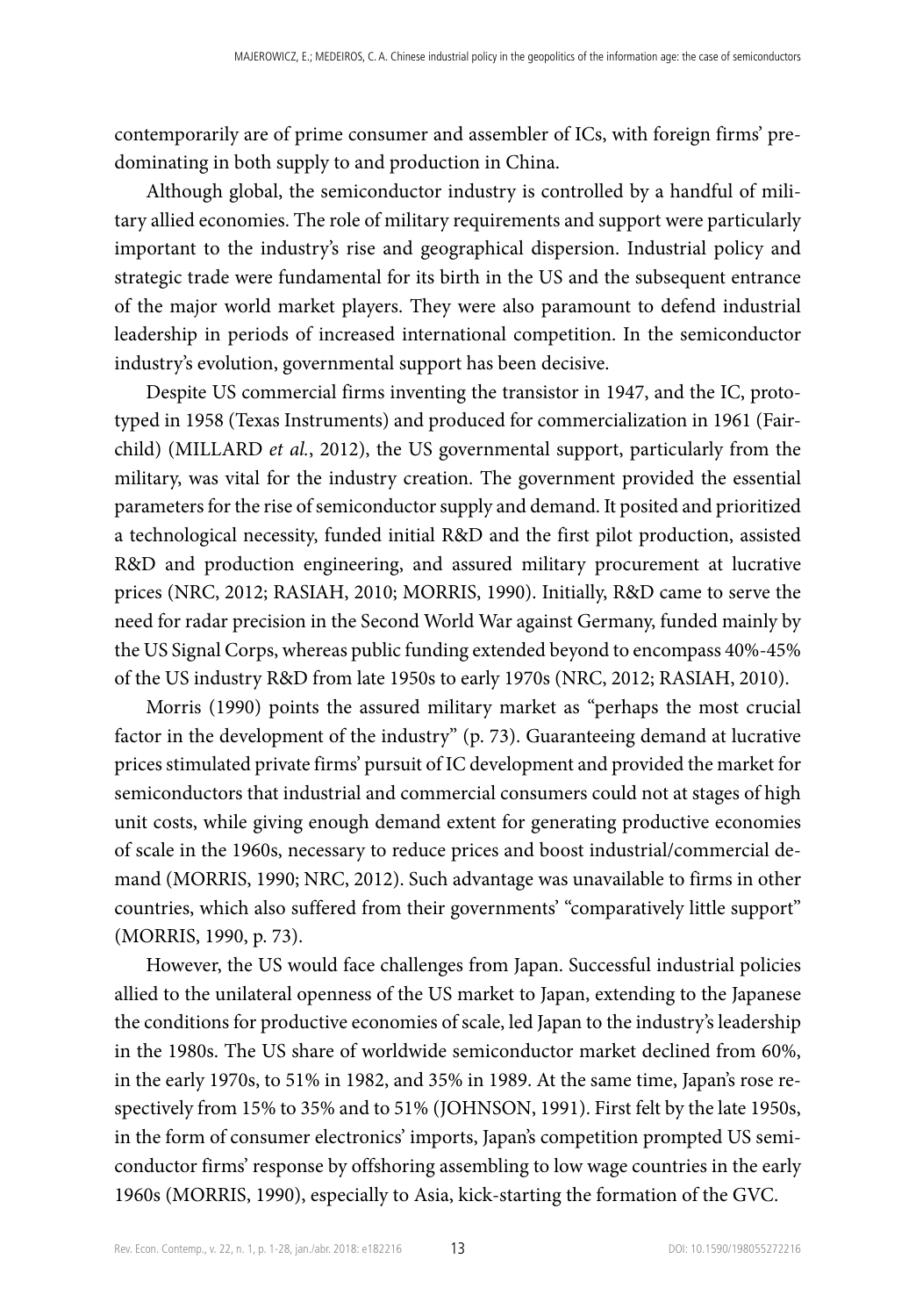contemporarily are of prime consumer and assembler of ICs, with foreign firms' predominating in both supply to and production in China.

Although global, the semiconductor industry is controlled by a handful of military allied economies. The role of military requirements and support were particularly important to the industry's rise and geographical dispersion. Industrial policy and strategic trade were fundamental for its birth in the US and the subsequent entrance of the major world market players. They were also paramount to defend industrial leadership in periods of increased international competition. In the semiconductor industry's evolution, governmental support has been decisive.

Despite US commercial firms inventing the transistor in 1947, and the IC, prototyped in 1958 (Texas Instruments) and produced for commercialization in 1961 (Fairchild) (MILLARD *et al.*, 2012), the US governmental support, particularly from the military, was vital for the industry creation. The government provided the essential parameters for the rise of semiconductor supply and demand. It posited and prioritized a technological necessity, funded initial R&D and the first pilot production, assisted R&D and production engineering, and assured military procurement at lucrative prices (NRC, 2012; RASIAH, 2010; MORRIS, 1990). Initially, R&D came to serve the need for radar precision in the Second World War against Germany, funded mainly by the US Signal Corps, whereas public funding extended beyond to encompass 40%-45% of the US industry R&D from late 1950s to early 1970s (NRC, 2012; RASIAH, 2010).

Morris (1990) points the assured military market as "perhaps the most crucial factor in the development of the industry" (p. 73). Guaranteeing demand at lucrative prices stimulated private firms' pursuit of IC development and provided the market for semiconductors that industrial and commercial consumers could not at stages of high unit costs, while giving enough demand extent for generating productive economies of scale in the 1960s, necessary to reduce prices and boost industrial/commercial demand (MORRIS, 1990; NRC, 2012). Such advantage was unavailable to firms in other countries, which also suffered from their governments' "comparatively little support" (MORRIS, 1990, p. 73).

However, the US would face challenges from Japan. Successful industrial policies allied to the unilateral openness of the US market to Japan, extending to the Japanese the conditions for productive economies of scale, led Japan to the industry's leadership in the 1980s. The US share of worldwide semiconductor market declined from 60%, in the early 1970s, to 51% in 1982, and 35% in 1989. At the same time, Japan's rose respectively from 15% to 35% and to 51% (JOHNSON, 1991). First felt by the late 1950s, in the form of consumer electronics' imports, Japan's competition prompted US semiconductor firms' response by offshoring assembling to low wage countries in the early 1960s (MORRIS, 1990), especially to Asia, kick-starting the formation of the GVC.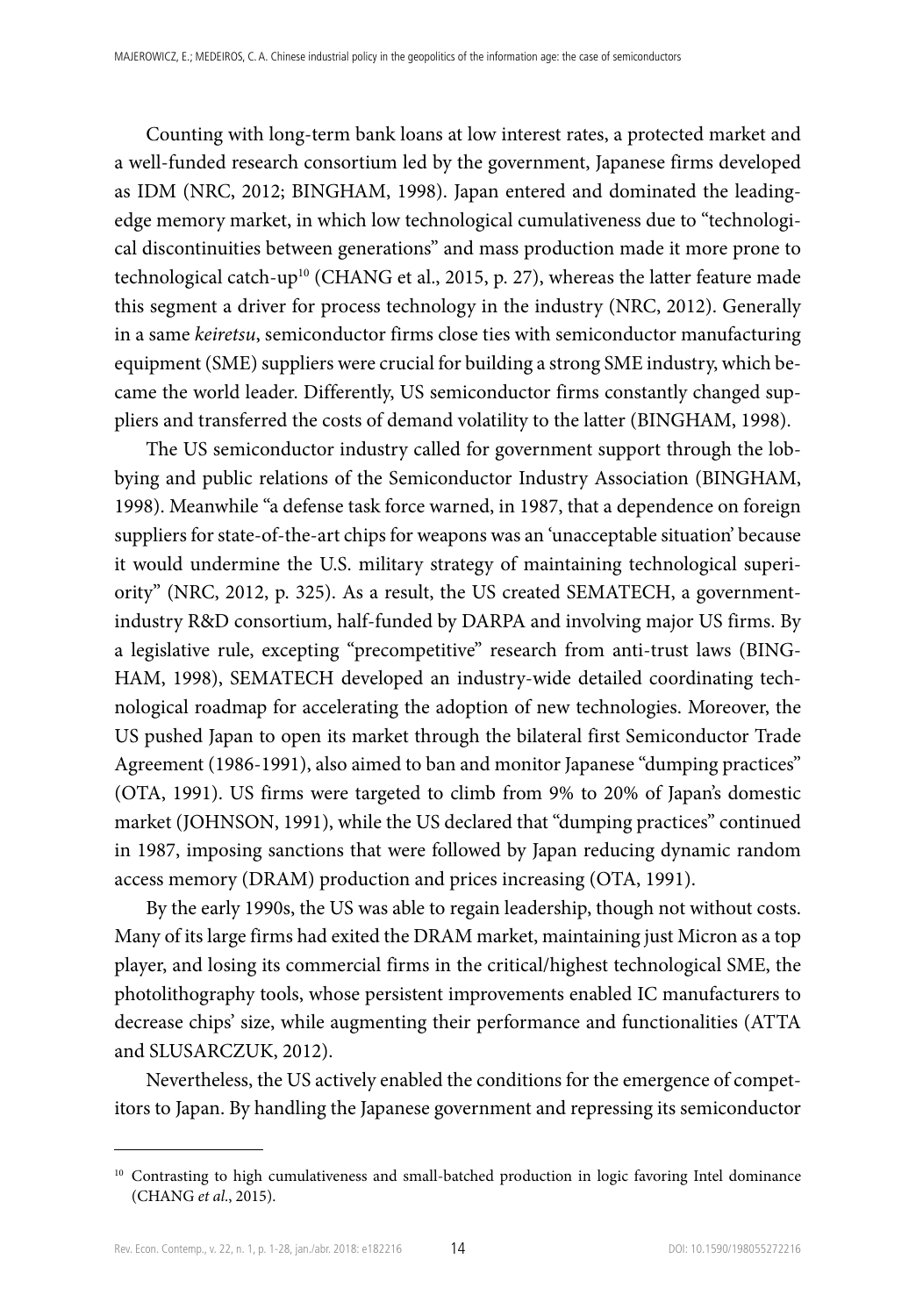Counting with long-term bank loans at low interest rates, a protected market and a well-funded research consortium led by the government, Japanese firms developed as IDM (NRC, 2012; BINGHAM, 1998). Japan entered and dominated the leadingedge memory market, in which low technological cumulativeness due to "technological discontinuities between generations" and mass production made it more prone to technological catch-up<sup>10</sup> (CHANG et al., 2015, p. 27), whereas the latter feature made this segment a driver for process technology in the industry (NRC, 2012). Generally in a same *keiretsu*, semiconductor firms close ties with semiconductor manufacturing equipment (SME) suppliers were crucial for building a strong SME industry, which became the world leader. Differently, US semiconductor firms constantly changed suppliers and transferred the costs of demand volatility to the latter (BINGHAM, 1998).

The US semiconductor industry called for government support through the lobbying and public relations of the Semiconductor Industry Association (BINGHAM, 1998). Meanwhile "a defense task force warned, in 1987, that a dependence on foreign suppliers for state-of-the-art chips for weapons was an 'unacceptable situation' because it would undermine the U.S. military strategy of maintaining technological superiority" (NRC, 2012, p. 325). As a result, the US created SEMATECH, a governmentindustry R&D consortium, half-funded by DARPA and involving major US firms. By a legislative rule, excepting "precompetitive" research from anti-trust laws (BING-HAM, 1998), SEMATECH developed an industry-wide detailed coordinating technological roadmap for accelerating the adoption of new technologies. Moreover, the US pushed Japan to open its market through the bilateral first Semiconductor Trade Agreement (1986-1991), also aimed to ban and monitor Japanese "dumping practices" (OTA, 1991). US firms were targeted to climb from 9% to 20% of Japan's domestic market (JOHNSON, 1991), while the US declared that "dumping practices" continued in 1987, imposing sanctions that were followed by Japan reducing dynamic random access memory (DRAM) production and prices increasing (OTA, 1991).

By the early 1990s, the US was able to regain leadership, though not without costs. Many of its large firms had exited the DRAM market, maintaining just Micron as a top player, and losing its commercial firms in the critical/highest technological SME, the photolithography tools, whose persistent improvements enabled IC manufacturers to decrease chips' size, while augmenting their performance and functionalities (ATTA and SLUSARCZUK, 2012).

Nevertheless, the US actively enabled the conditions for the emergence of competitors to Japan. By handling the Japanese government and repressing its semiconductor

<sup>&</sup>lt;sup>10</sup> Contrasting to high cumulativeness and small-batched production in logic favoring Intel dominance (CHANG *et al*., 2015).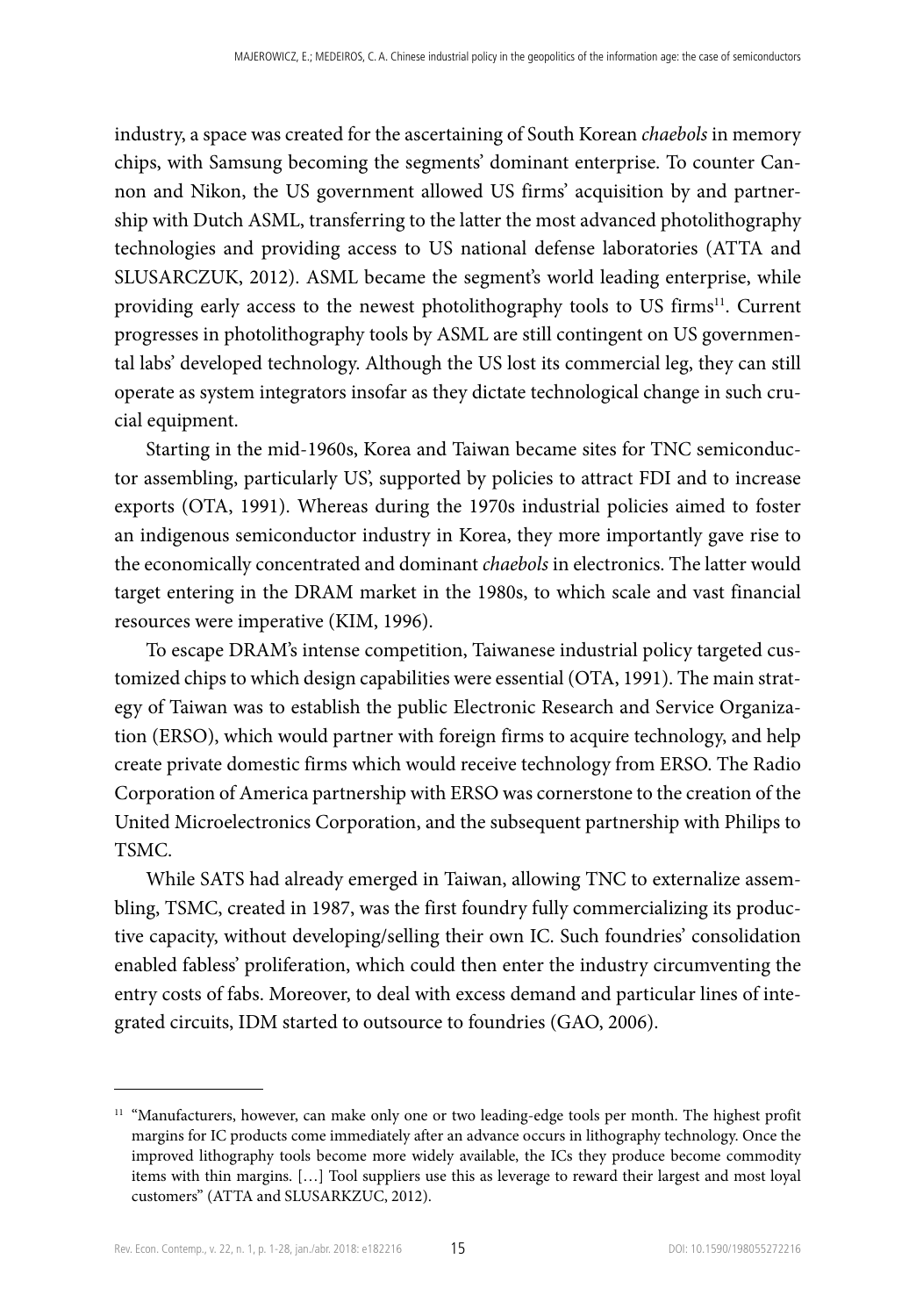industry, a space was created for the ascertaining of South Korean *chaebols* in memory chips, with Samsung becoming the segments' dominant enterprise. To counter Cannon and Nikon, the US government allowed US firms' acquisition by and partnership with Dutch ASML, transferring to the latter the most advanced photolithography technologies and providing access to US national defense laboratories (ATTA and SLUSARCZUK, 2012). ASML became the segment's world leading enterprise, while providing early access to the newest photolithography tools to US firms<sup>11</sup>. Current progresses in photolithography tools by ASML are still contingent on US governmental labs' developed technology. Although the US lost its commercial leg, they can still operate as system integrators insofar as they dictate technological change in such crucial equipment.

Starting in the mid-1960s, Korea and Taiwan became sites for TNC semiconductor assembling, particularly US', supported by policies to attract FDI and to increase exports (OTA, 1991). Whereas during the 1970s industrial policies aimed to foster an indigenous semiconductor industry in Korea, they more importantly gave rise to the economically concentrated and dominant *chaebols* in electronics. The latter would target entering in the DRAM market in the 1980s, to which scale and vast financial resources were imperative (KIM, 1996).

To escape DRAM's intense competition, Taiwanese industrial policy targeted customized chips to which design capabilities were essential (OTA, 1991). The main strategy of Taiwan was to establish the public Electronic Research and Service Organization (ERSO), which would partner with foreign firms to acquire technology, and help create private domestic firms which would receive technology from ERSO. The Radio Corporation of America partnership with ERSO was cornerstone to the creation of the United Microelectronics Corporation, and the subsequent partnership with Philips to TSMC.

While SATS had already emerged in Taiwan, allowing TNC to externalize assembling, TSMC, created in 1987, was the first foundry fully commercializing its productive capacity, without developing/selling their own IC. Such foundries' consolidation enabled fabless' proliferation, which could then enter the industry circumventing the entry costs of fabs. Moreover, to deal with excess demand and particular lines of integrated circuits, IDM started to outsource to foundries (GAO, 2006).

<sup>&</sup>lt;sup>11</sup> "Manufacturers, however, can make only one or two leading-edge tools per month. The highest profit margins for IC products come immediately after an advance occurs in lithography technology. Once the improved lithography tools become more widely available, the ICs they produce become commodity items with thin margins. […] Tool suppliers use this as leverage to reward their largest and most loyal customers" (ATTA and SLUSARKZUC, 2012).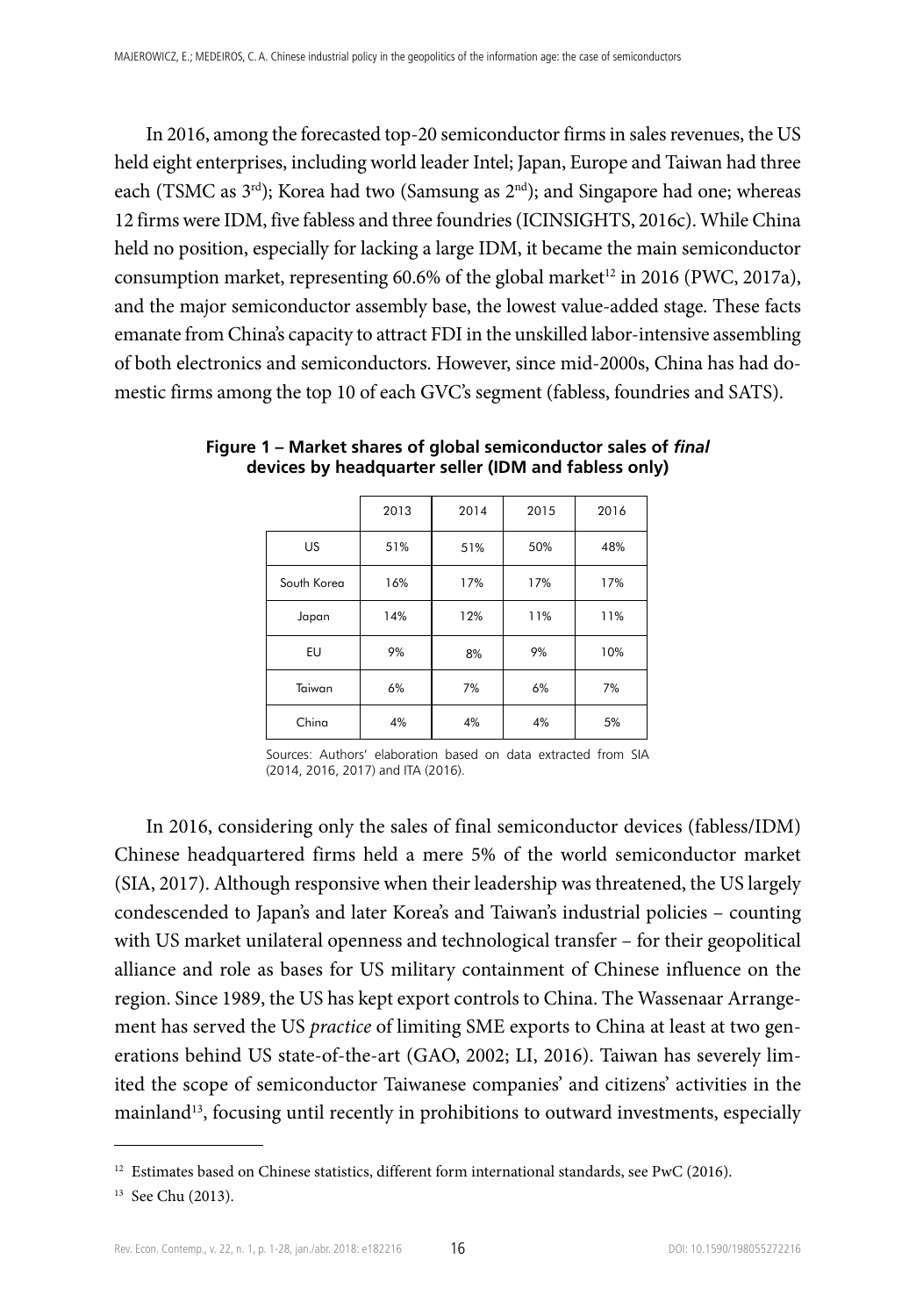In 2016, among the forecasted top-20 semiconductor firms in sales revenues, the US held eight enterprises, including world leader Intel; Japan, Europe and Taiwan had three each (TSMC as 3<sup>rd</sup>); Korea had two (Samsung as 2<sup>nd</sup>); and Singapore had one; whereas 12 firms were IDM, five fabless and three foundries (ICINSIGHTS, 2016c). While China held no position, especially for lacking a large IDM, it became the main semiconductor consumption market, representing 60.6% of the global market<sup>12</sup> in 2016 (PWC, 2017a), and the major semiconductor assembly base, the lowest value-added stage. These facts emanate from China's capacity to attract FDI in the unskilled labor-intensive assembling of both electronics and semiconductors. However, since mid-2000s, China has had domestic firms among the top 10 of each GVC's segment (fabless, foundries and SATS).

|             | 2013 | 2014 | 2015 | 2016 |  |  |
|-------------|------|------|------|------|--|--|
| <b>US</b>   | 51%  | 51%  | 50%  | 48%  |  |  |
| South Korea | 16%  | 17%  | 17%  | 17%  |  |  |
| Japan       | 14%  | 12%  | 11%  | 11%  |  |  |
| EU          | 9%   | 8%   | 9%   | 10%  |  |  |
| Taiwan      | 6%   | 7%   | 6%   | 7%   |  |  |
| China       | 4%   | 4%   | 4%   | 5%   |  |  |

**Figure 1 – Market shares of global semiconductor sales of** *final* **devices by headquarter seller (IDM and fabless only)**

Sources: Authors' elaboration based on data extracted from SIA (2014, 2016, 2017) and ITA (2016).

In 2016, considering only the sales of final semiconductor devices (fabless/IDM) Chinese headquartered firms held a mere 5% of the world semiconductor market (SIA, 2017). Although responsive when their leadership was threatened, the US largely condescended to Japan's and later Korea's and Taiwan's industrial policies – counting with US market unilateral openness and technological transfer – for their geopolitical alliance and role as bases for US military containment of Chinese influence on the region. Since 1989, the US has kept export controls to China. The Wassenaar Arrangement has served the US *practice* of limiting SME exports to China at least at two generations behind US state-of-the-art (GAO, 2002; LI, 2016). Taiwan has severely limited the scope of semiconductor Taiwanese companies' and citizens' activities in the mainland<sup>13</sup>, focusing until recently in prohibitions to outward investments, especially

<sup>&</sup>lt;sup>12</sup> Estimates based on Chinese statistics, different form international standards, see PwC (2016).

<sup>&</sup>lt;sup>13</sup> See Chu (2013).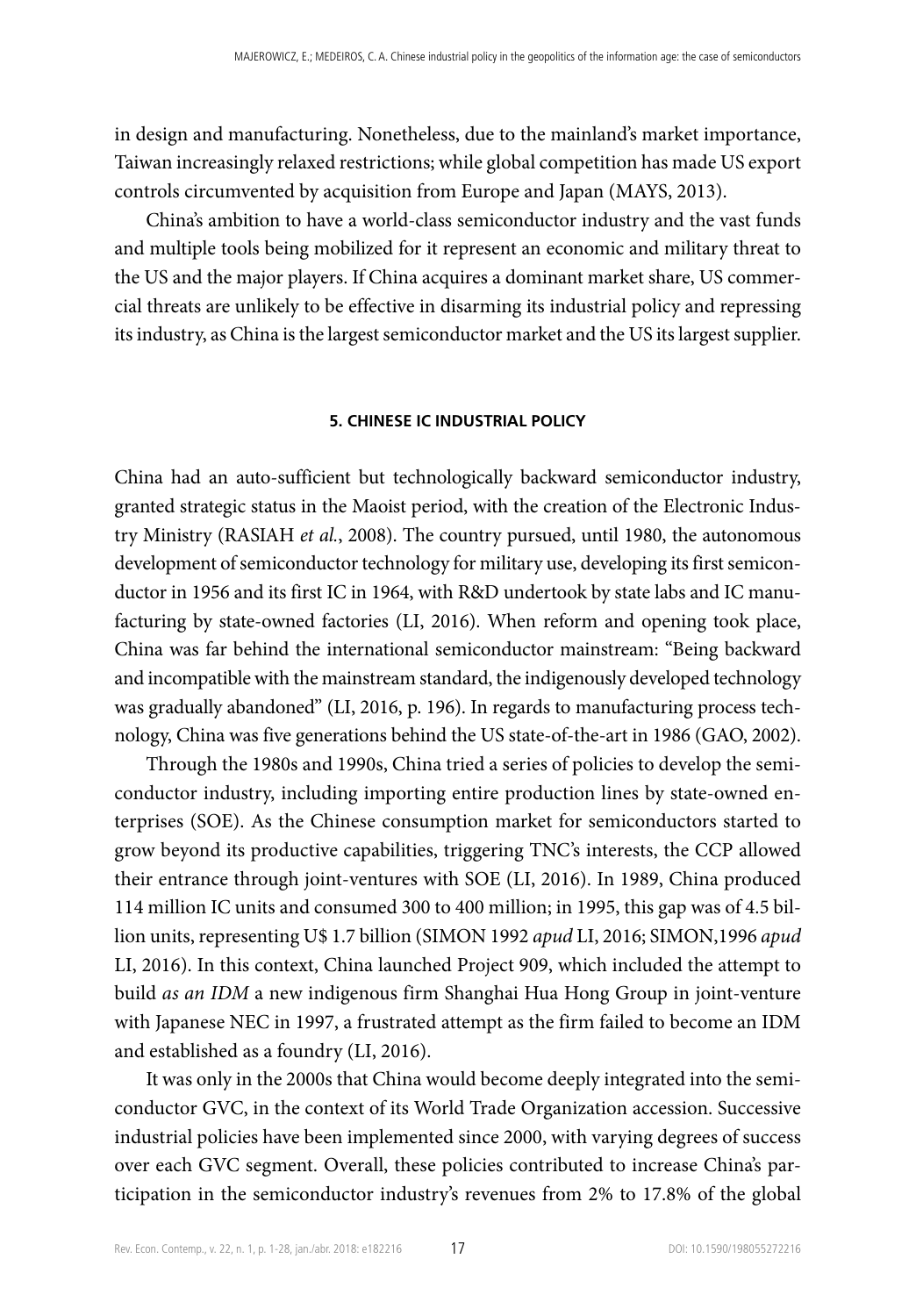in design and manufacturing. Nonetheless, due to the mainland's market importance, Taiwan increasingly relaxed restrictions; while global competition has made US export controls circumvented by acquisition from Europe and Japan (MAYS, 2013).

China's ambition to have a world-class semiconductor industry and the vast funds and multiple tools being mobilized for it represent an economic and military threat to the US and the major players. If China acquires a dominant market share, US commercial threats are unlikely to be effective in disarming its industrial policy and repressing its industry, as China is the largest semiconductor market and the US its largest supplier.

#### **5. CHINESE IC INDUSTRIAL POLICY**

China had an auto-sufficient but technologically backward semiconductor industry, granted strategic status in the Maoist period, with the creation of the Electronic Industry Ministry (RASIAH *et al.*, 2008). The country pursued, until 1980, the autonomous development of semiconductor technology for military use, developing its first semiconductor in 1956 and its first IC in 1964, with R&D undertook by state labs and IC manufacturing by state-owned factories (LI, 2016). When reform and opening took place, China was far behind the international semiconductor mainstream: "Being backward and incompatible with the mainstream standard, the indigenously developed technology was gradually abandoned" (LI, 2016, p. 196). In regards to manufacturing process technology, China was five generations behind the US state-of-the-art in 1986 (GAO, 2002).

Through the 1980s and 1990s, China tried a series of policies to develop the semiconductor industry, including importing entire production lines by state-owned enterprises (SOE). As the Chinese consumption market for semiconductors started to grow beyond its productive capabilities, triggering TNC's interests, the CCP allowed their entrance through joint-ventures with SOE (LI, 2016). In 1989, China produced 114 million IC units and consumed 300 to 400 million; in 1995, this gap was of 4.5 billion units, representing U\$ 1.7 billion (SIMON 1992 *apud* LI, 2016; SIMON,1996 *apud*  LI, 2016). In this context, China launched Project 909, which included the attempt to build *as an IDM* a new indigenous firm Shanghai Hua Hong Group in joint-venture with Japanese NEC in 1997, a frustrated attempt as the firm failed to become an IDM and established as a foundry (LI, 2016).

It was only in the 2000s that China would become deeply integrated into the semiconductor GVC, in the context of its World Trade Organization accession. Successive industrial policies have been implemented since 2000, with varying degrees of success over each GVC segment. Overall, these policies contributed to increase China's participation in the semiconductor industry's revenues from 2% to 17.8% of the global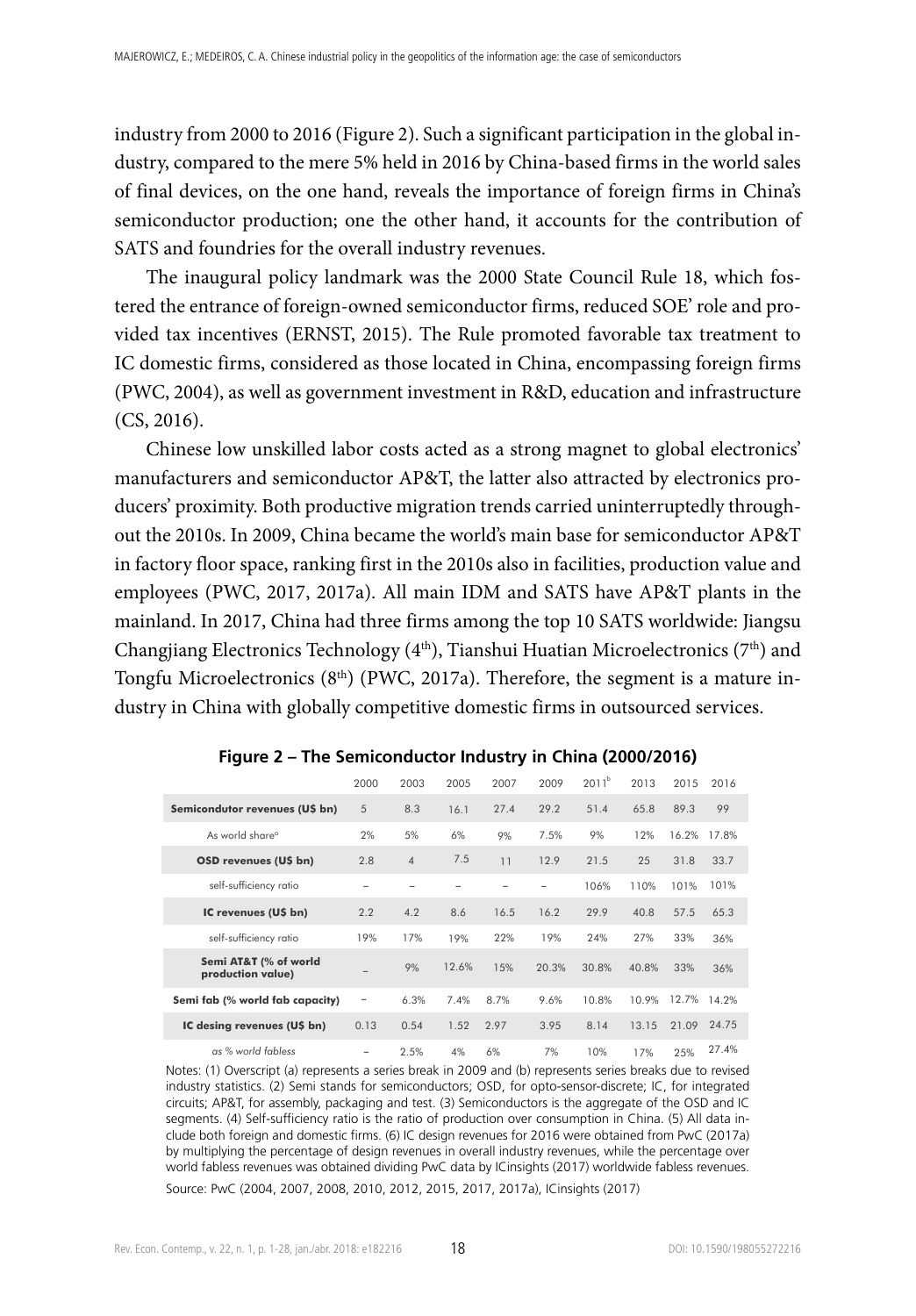industry from 2000 to 2016 (Figure 2). Such a significant participation in the global industry, compared to the mere 5% held in 2016 by China-based firms in the world sales of final devices, on the one hand, reveals the importance of foreign firms in China's semiconductor production; one the other hand, it accounts for the contribution of SATS and foundries for the overall industry revenues.

The inaugural policy landmark was the 2000 State Council Rule 18, which fostered the entrance of foreign-owned semiconductor firms, reduced SOE' role and provided tax incentives (ERNST, 2015). The Rule promoted favorable tax treatment to IC domestic firms, considered as those located in China, encompassing foreign firms (PWC, 2004), as well as government investment in R&D, education and infrastructure (CS, 2016).

Chinese low unskilled labor costs acted as a strong magnet to global electronics' manufacturers and semiconductor AP&T, the latter also attracted by electronics producers' proximity. Both productive migration trends carried uninterruptedly throughout the 2010s. In 2009, China became the world's main base for semiconductor AP&T in factory floor space, ranking first in the 2010s also in facilities, production value and employees (PWC, 2017, 2017a). All main IDM and SATS have AP&T plants in the mainland. In 2017, China had three firms among the top 10 SATS worldwide: Jiangsu Changjiang Electronics Technology (4<sup>th</sup>), Tianshui Huatian Microelectronics (7<sup>th</sup>) and Tongfu Microelectronics (8<sup>th</sup>) (PWC, 2017a). Therefore, the segment is a mature industry in China with globally competitive domestic firms in outsourced services.

|                                            | 2000 | 2003           | 2005  | 2007 | 2009  | $2011^b$ | 2013  | 2015  | 2016  |
|--------------------------------------------|------|----------------|-------|------|-------|----------|-------|-------|-------|
| Semicondutor revenues (U\$ bn)             | 5    | 8.3            | 16.1  | 27.4 | 29.2  | 51.4     | 65.8  | 89.3  | 99    |
| As world share <sup>a</sup>                | 2%   | 5%             | 6%    | 9%   | 7.5%  | 9%       | 12%   | 16.2% | 17.8% |
| OSD revenues (U\$ bn)                      | 2.8  | $\overline{4}$ | 7.5   | 11   | 12.9  | 21.5     | 25    | 31.8  | 33.7  |
| self-sufficiency ratio                     | -    |                |       |      | -     | 106%     | 110%  | 101%  | 101%  |
| IC revenues (U\$ bn)                       | 2.2  | 4.2            | 8.6   | 16.5 | 16.2  | 29.9     | 40.8  | 57.5  | 65.3  |
| self-sufficiency ratio                     | 19%  | 17%            | 19%   | 22%  | 19%   | 24%      | 27%   | 33%   | 36%   |
| Semi AT&T (% of world<br>production value) |      | 9%             | 12.6% | 1.5% | 20.3% | 30.8%    | 40.8% | 33%   | 36%   |
| Semi fab (% world fab capacity)            | -    | 6.3%           | 7.4%  | 8.7% | 9.6%  | 10.8%    | 10.9% | 12.7% | 14.2% |
| IC desing revenues (U\$ bn)                | 0.13 | 0.54           | 1.52  | 2.97 | 3.95  | 8.14     | 13.15 | 21.09 | 24.75 |
| as % world fabless                         |      | 2.5%           | 4%    | 6%   | 7%    | 10%      | 17%   | 25%   | 27.4% |

# **Figure 2 – The Semiconductor Industry in China (2000/2016)**

Notes: (1) Overscript (a) represents a series break in 2009 and (b) represents series breaks due to revised industry statistics. (2) Semi stands for semiconductors; OSD, for opto-sensor-discrete; IC, for integrated circuits; AP&T, for assembly, packaging and test. (3) Semiconductors is the aggregate of the OSD and IC segments. (4) Self-sufficiency ratio is the ratio of production over consumption in China. (5) All data include both foreign and domestic firms. (6) IC design revenues for 2016 were obtained from PwC (2017a) by multiplying the percentage of design revenues in overall industry revenues, while the percentage over world fabless revenues was obtained dividing PwC data by ICinsights (2017) worldwide fabless revenues. Source: PwC (2004, 2007, 2008, 2010, 2012, 2015, 2017, 2017a), ICinsights (2017)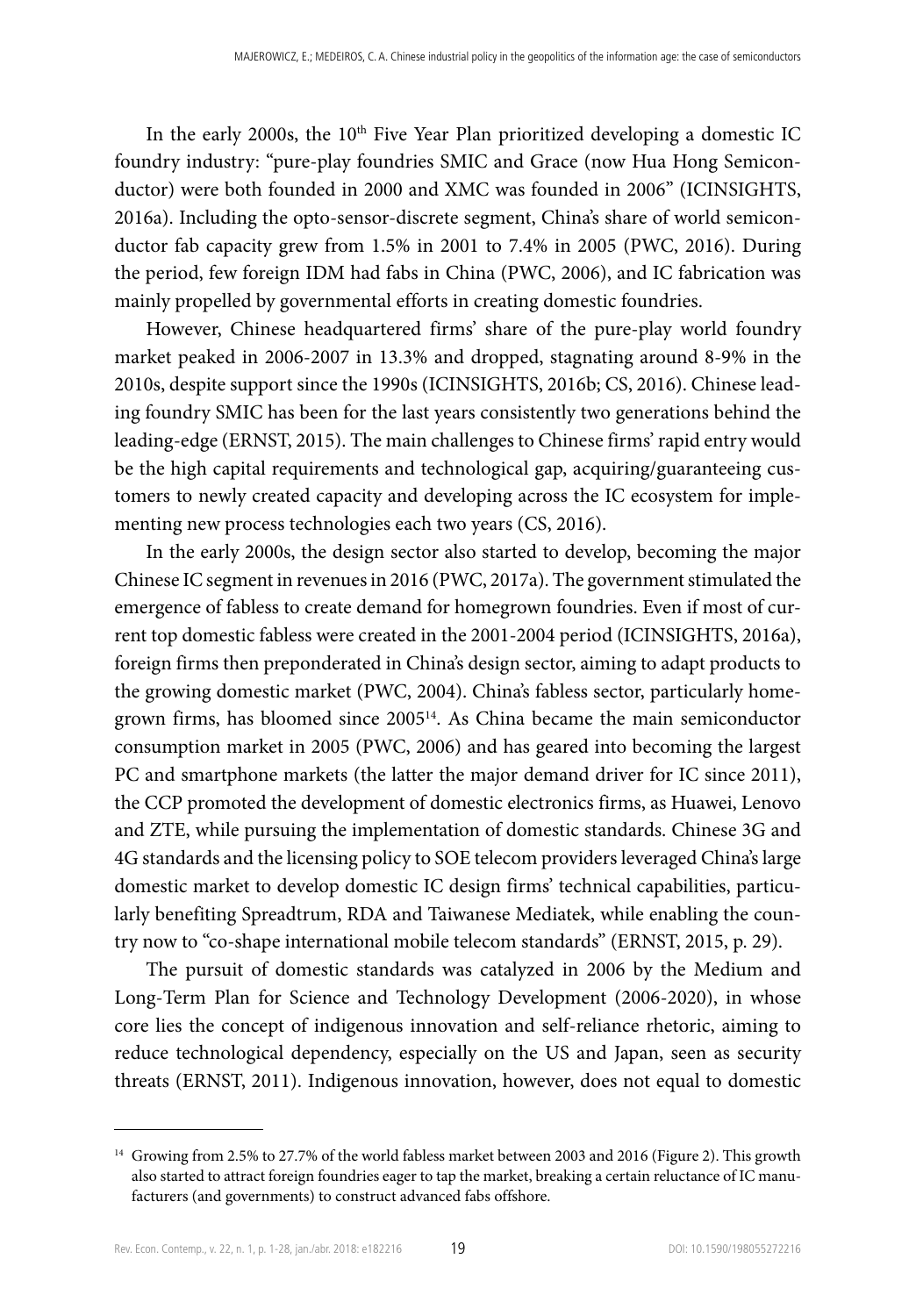In the early 2000s, the  $10<sup>th</sup>$  Five Year Plan prioritized developing a domestic IC foundry industry: "pure-play foundries SMIC and Grace (now Hua Hong Semiconductor) were both founded in 2000 and XMC was founded in 2006" (ICINSIGHTS, 2016a). Including the opto-sensor-discrete segment, China's share of world semiconductor fab capacity grew from 1.5% in 2001 to 7.4% in 2005 (PWC, 2016). During the period, few foreign IDM had fabs in China (PWC, 2006), and IC fabrication was mainly propelled by governmental efforts in creating domestic foundries.

However, Chinese headquartered firms' share of the pure-play world foundry market peaked in 2006-2007 in 13.3% and dropped, stagnating around 8-9% in the 2010s, despite support since the 1990s (ICINSIGHTS, 2016b; CS, 2016). Chinese leading foundry SMIC has been for the last years consistently two generations behind the leading-edge (ERNST, 2015). The main challenges to Chinese firms' rapid entry would be the high capital requirements and technological gap, acquiring/guaranteeing customers to newly created capacity and developing across the IC ecosystem for implementing new process technologies each two years (CS, 2016).

In the early 2000s, the design sector also started to develop, becoming the major Chinese IC segment in revenues in 2016 (PWC, 2017a). The government stimulated the emergence of fabless to create demand for homegrown foundries. Even if most of current top domestic fabless were created in the 2001-2004 period (ICINSIGHTS, 2016a), foreign firms then preponderated in China's design sector, aiming to adapt products to the growing domestic market (PWC, 2004). China's fabless sector, particularly homegrown firms, has bloomed since 200514. As China became the main semiconductor consumption market in 2005 (PWC, 2006) and has geared into becoming the largest PC and smartphone markets (the latter the major demand driver for IC since 2011), the CCP promoted the development of domestic electronics firms, as Huawei, Lenovo and ZTE, while pursuing the implementation of domestic standards. Chinese 3G and 4G standards and the licensing policy to SOE telecom providers leveraged China's large domestic market to develop domestic IC design firms' technical capabilities, particularly benefiting Spreadtrum, RDA and Taiwanese Mediatek, while enabling the country now to "co-shape international mobile telecom standards" (ERNST, 2015, p. 29).

The pursuit of domestic standards was catalyzed in 2006 by the Medium and Long-Term Plan for Science and Technology Development (2006-2020), in whose core lies the concept of indigenous innovation and self-reliance rhetoric, aiming to reduce technological dependency, especially on the US and Japan, seen as security threats (ERNST, 2011). Indigenous innovation, however, does not equal to domestic

<sup>&</sup>lt;sup>14</sup> Growing from 2.5% to 27.7% of the world fabless market between 2003 and 2016 (Figure 2). This growth also started to attract foreign foundries eager to tap the market, breaking a certain reluctance of IC manufacturers (and governments) to construct advanced fabs offshore.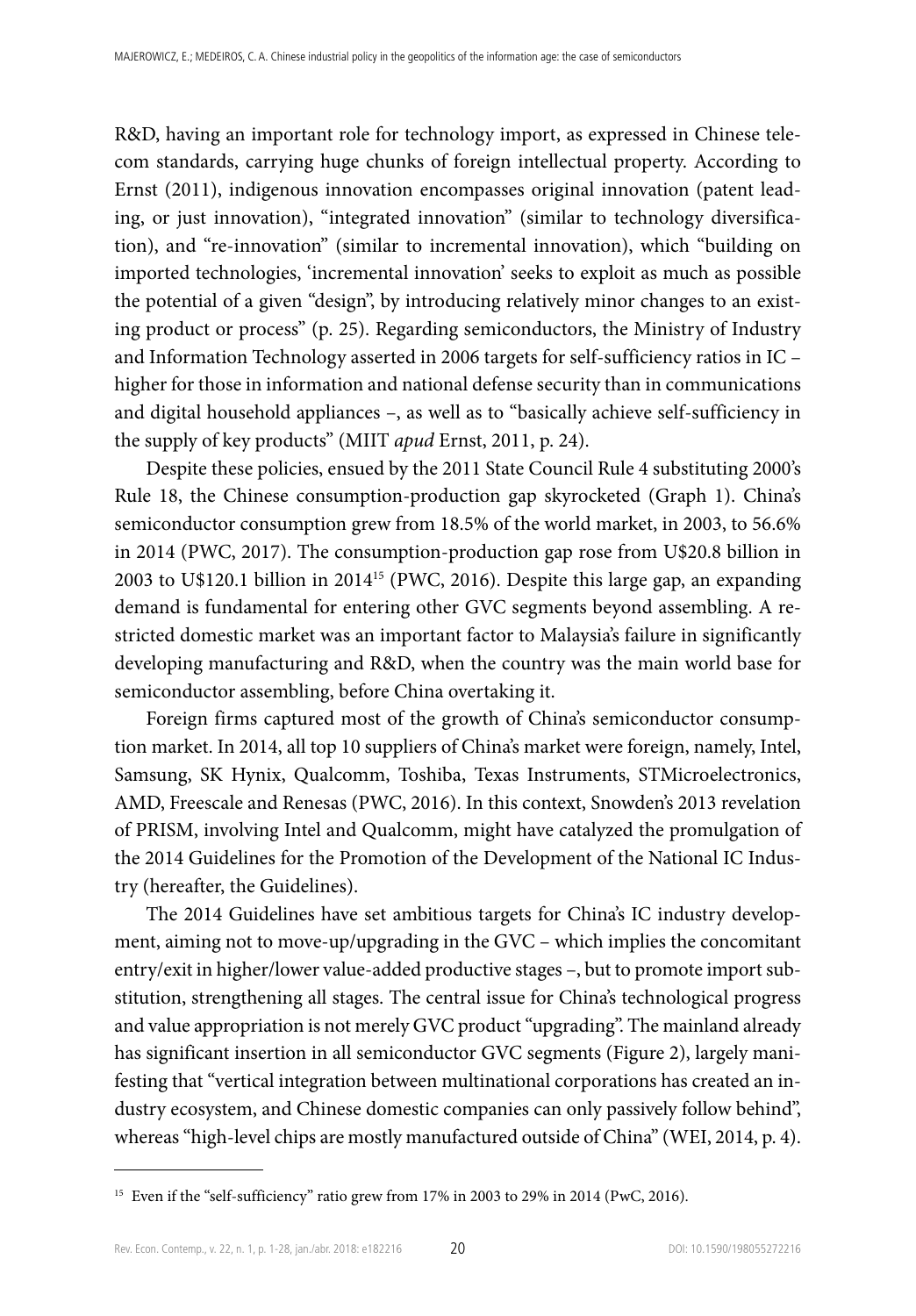R&D, having an important role for technology import, as expressed in Chinese telecom standards, carrying huge chunks of foreign intellectual property. According to Ernst (2011), indigenous innovation encompasses original innovation (patent leading, or just innovation), "integrated innovation" (similar to technology diversification), and "re-innovation" (similar to incremental innovation), which "building on imported technologies, 'incremental innovation' seeks to exploit as much as possible the potential of a given "design", by introducing relatively minor changes to an existing product or process" (p. 25). Regarding semiconductors, the Ministry of Industry and Information Technology asserted in 2006 targets for self-sufficiency ratios in IC – higher for those in information and national defense security than in communications and digital household appliances –, as well as to "basically achieve self-sufficiency in the supply of key products" (MIIT *apud* Ernst, 2011, p. 24).

Despite these policies, ensued by the 2011 State Council Rule 4 substituting 2000's Rule 18, the Chinese consumption-production gap skyrocketed (Graph 1). China's semiconductor consumption grew from 18.5% of the world market, in 2003, to 56.6% in 2014 (PWC, 2017). The consumption-production gap rose from U\$20.8 billion in 2003 to U\$120.1 billion in 201415 (PWC, 2016). Despite this large gap, an expanding demand is fundamental for entering other GVC segments beyond assembling. A restricted domestic market was an important factor to Malaysia's failure in significantly developing manufacturing and R&D, when the country was the main world base for semiconductor assembling, before China overtaking it.

Foreign firms captured most of the growth of China's semiconductor consumption market. In 2014, all top 10 suppliers of China's market were foreign, namely, Intel, Samsung, SK Hynix, Qualcomm, Toshiba, Texas Instruments, STMicroelectronics, AMD, Freescale and Renesas (PWC, 2016). In this context, Snowden's 2013 revelation of PRISM, involving Intel and Qualcomm, might have catalyzed the promulgation of the 2014 Guidelines for the Promotion of the Development of the National IC Industry (hereafter, the Guidelines).

The 2014 Guidelines have set ambitious targets for China's IC industry development, aiming not to move-up/upgrading in the GVC – which implies the concomitant entry/exit in higher/lower value-added productive stages –, but to promote import substitution, strengthening all stages. The central issue for China's technological progress and value appropriation is not merely GVC product "upgrading". The mainland already has significant insertion in all semiconductor GVC segments (Figure 2), largely manifesting that "vertical integration between multinational corporations has created an industry ecosystem, and Chinese domestic companies can only passively follow behind", whereas "high-level chips are mostly manufactured outside of China" (WEI, 2014, p. 4).

<sup>&</sup>lt;sup>15</sup> Even if the "self-sufficiency" ratio grew from 17% in 2003 to 29% in 2014 (PwC, 2016).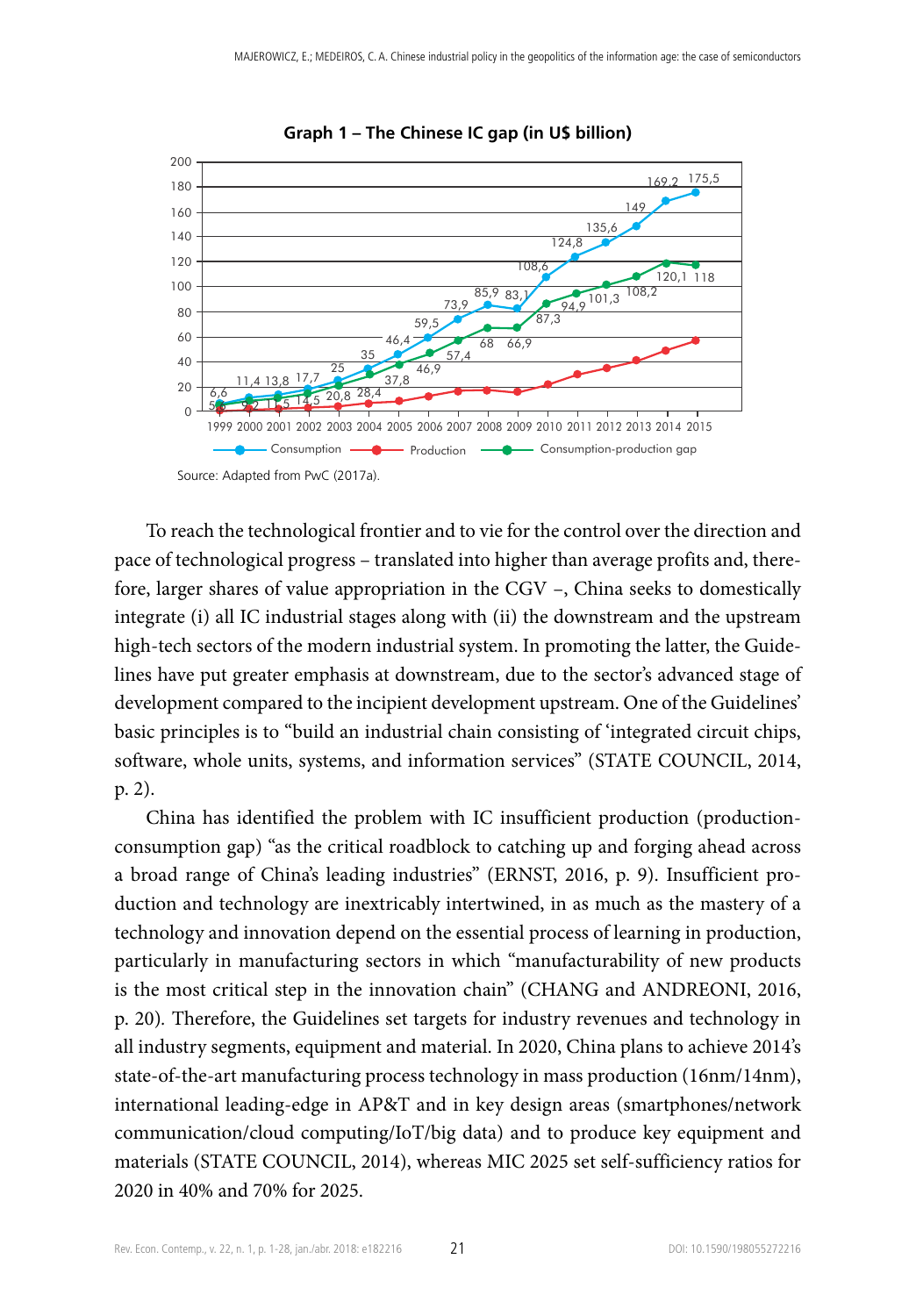

**Graph 1 – The Chinese IC gap (in U\$ billion)**

To reach the technological frontier and to vie for the control over the direction and pace of technological progress – translated into higher than average profits and, therefore, larger shares of value appropriation in the CGV –, China seeks to domestically integrate (i) all IC industrial stages along with (ii) the downstream and the upstream high-tech sectors of the modern industrial system. In promoting the latter, the Guidelines have put greater emphasis at downstream, due to the sector's advanced stage of development compared to the incipient development upstream. One of the Guidelines' basic principles is to "build an industrial chain consisting of 'integrated circuit chips, software, whole units, systems, and information services" (STATE COUNCIL, 2014, p. 2).

China has identified the problem with IC insufficient production (productionconsumption gap) "as the critical roadblock to catching up and forging ahead across a broad range of China's leading industries" (ERNST, 2016, p. 9). Insufficient production and technology are inextricably intertwined, in as much as the mastery of a technology and innovation depend on the essential process of learning in production, particularly in manufacturing sectors in which "manufacturability of new products is the most critical step in the innovation chain" (CHANG and ANDREONI, 2016, p. 20)*.* Therefore, the Guidelines set targets for industry revenues and technology in all industry segments, equipment and material. In 2020, China plans to achieve 2014's state-of-the-art manufacturing process technology in mass production (16nm/14nm), international leading-edge in AP&T and in key design areas (smartphones/network communication/cloud computing/IoT/big data) and to produce key equipment and materials (STATE COUNCIL, 2014), whereas MIC 2025 set self-sufficiency ratios for 2020 in 40% and 70% for 2025.

Source: Adapted from PwC (2017a).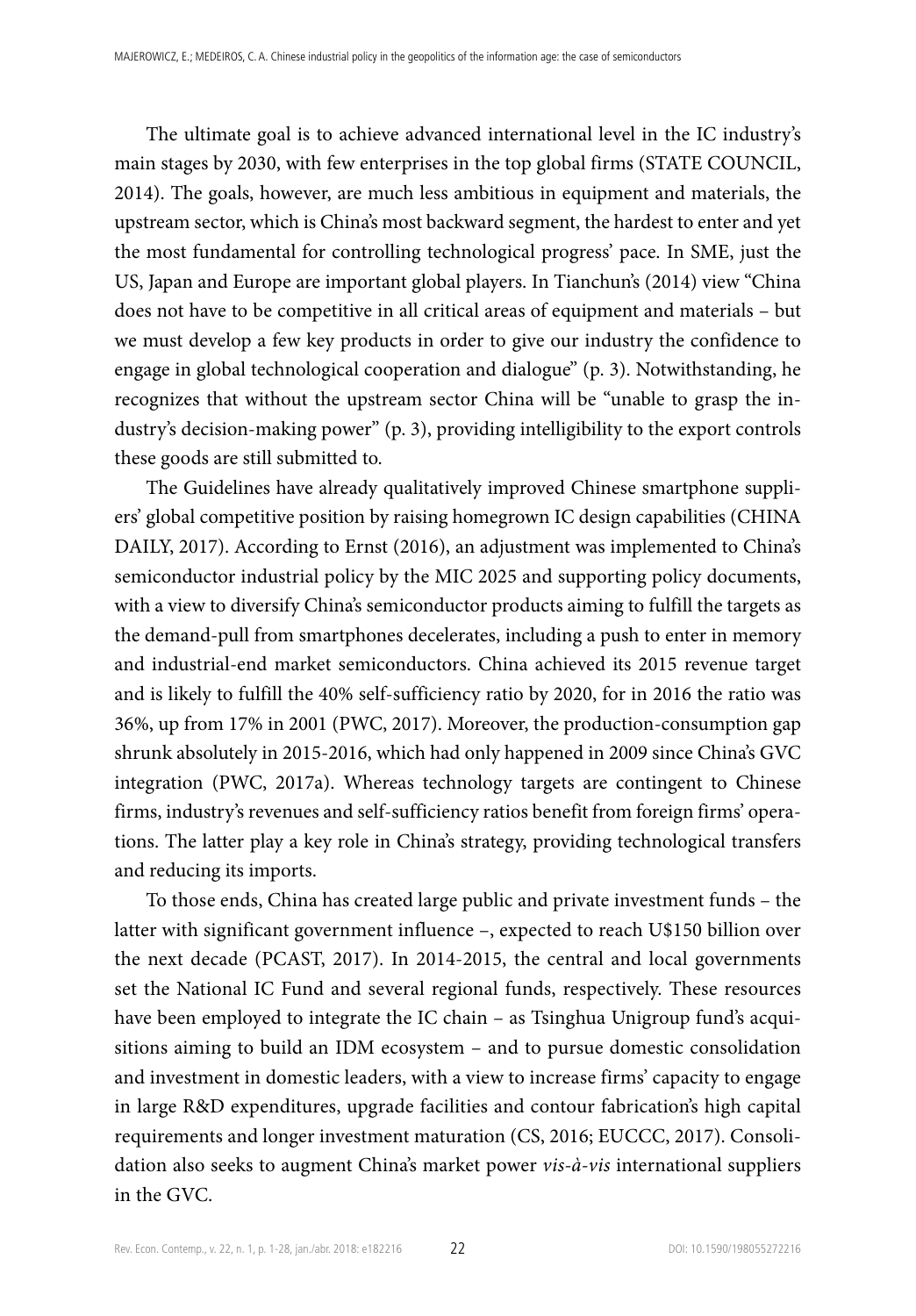The ultimate goal is to achieve advanced international level in the IC industry's main stages by 2030, with few enterprises in the top global firms (STATE COUNCIL, 2014). The goals, however, are much less ambitious in equipment and materials, the upstream sector, which is China's most backward segment, the hardest to enter and yet the most fundamental for controlling technological progress' pace. In SME, just the US, Japan and Europe are important global players. In Tianchun's (2014) view "China does not have to be competitive in all critical areas of equipment and materials – but we must develop a few key products in order to give our industry the confidence to engage in global technological cooperation and dialogue" (p. 3). Notwithstanding, he recognizes that without the upstream sector China will be "unable to grasp the industry's decision-making power" (p. 3), providing intelligibility to the export controls these goods are still submitted to.

The Guidelines have already qualitatively improved Chinese smartphone suppliers' global competitive position by raising homegrown IC design capabilities (CHINA DAILY, 2017). According to Ernst (2016), an adjustment was implemented to China's semiconductor industrial policy by the MIC 2025 and supporting policy documents, with a view to diversify China's semiconductor products aiming to fulfill the targets as the demand-pull from smartphones decelerates, including a push to enter in memory and industrial-end market semiconductors. China achieved its 2015 revenue target and is likely to fulfill the 40% self-sufficiency ratio by 2020, for in 2016 the ratio was 36%, up from 17% in 2001 (PWC, 2017). Moreover, the production-consumption gap shrunk absolutely in 2015-2016, which had only happened in 2009 since China's GVC integration (PWC, 2017a). Whereas technology targets are contingent to Chinese firms, industry's revenues and self-sufficiency ratios benefit from foreign firms' operations. The latter play a key role in China's strategy, providing technological transfers and reducing its imports.

To those ends, China has created large public and private investment funds – the latter with significant government influence –, expected to reach U\$150 billion over the next decade (PCAST, 2017). In 2014-2015, the central and local governments set the National IC Fund and several regional funds, respectively. These resources have been employed to integrate the IC chain - as Tsinghua Unigroup fund's acquisitions aiming to build an IDM ecosystem – and to pursue domestic consolidation and investment in domestic leaders, with a view to increase firms' capacity to engage in large R&D expenditures, upgrade facilities and contour fabrication's high capital requirements and longer investment maturation (CS, 2016; EUCCC, 2017). Consolidation also seeks to augment China's market power *vis-à-vis* international suppliers in the GVC.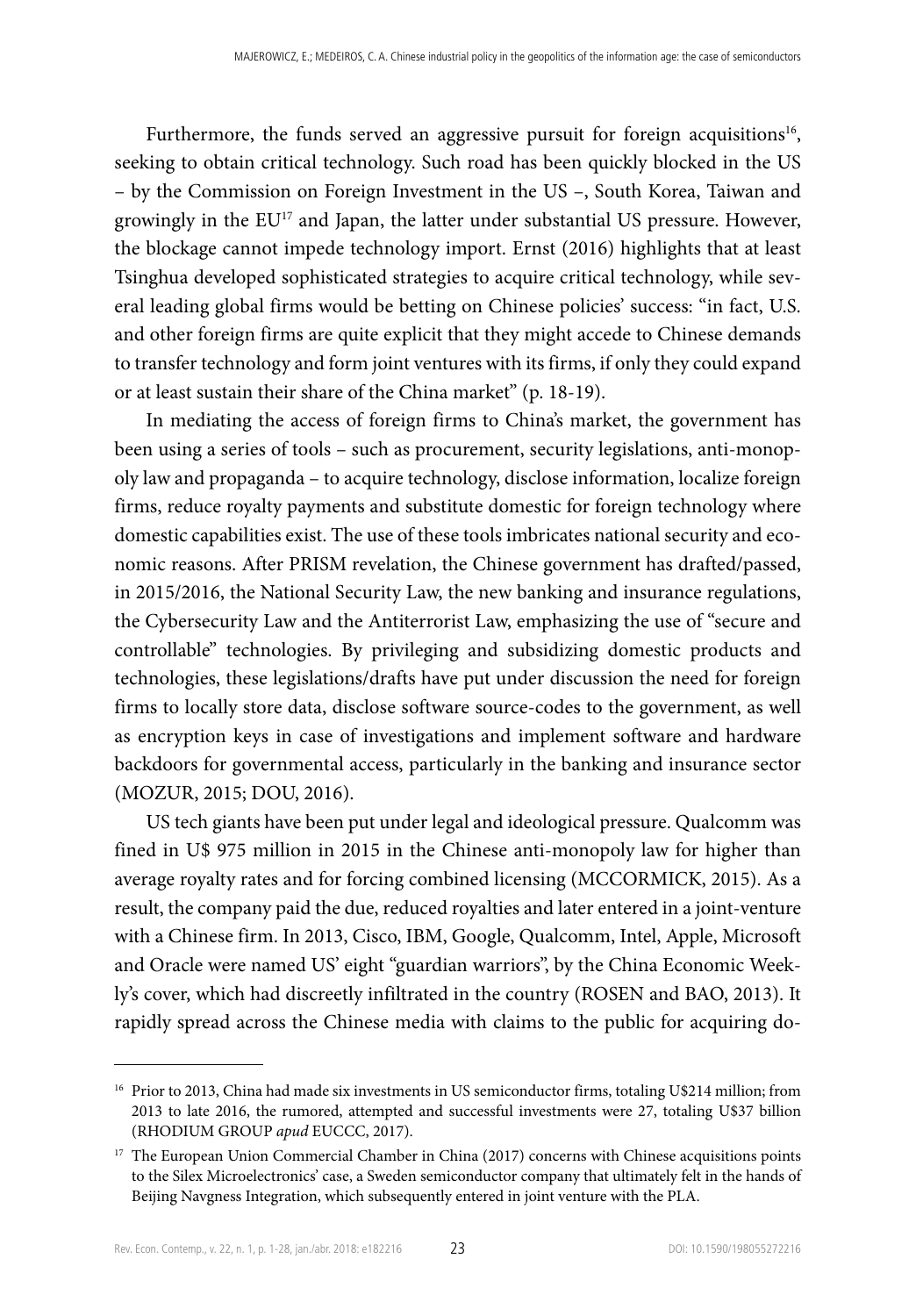Furthermore, the funds served an aggressive pursuit for foreign acquisitions<sup>16</sup>, seeking to obtain critical technology. Such road has been quickly blocked in the US – by the Commission on Foreign Investment in the US –, South Korea, Taiwan and growingly in the EU<sup>17</sup> and Japan, the latter under substantial US pressure. However, the blockage cannot impede technology import. Ernst (2016) highlights that at least Tsinghua developed sophisticated strategies to acquire critical technology, while several leading global firms would be betting on Chinese policies' success: "in fact, U.S. and other foreign firms are quite explicit that they might accede to Chinese demands to transfer technology and form joint ventures with its firms, if only they could expand or at least sustain their share of the China market" (p. 18-19).

In mediating the access of foreign firms to China's market, the government has been using a series of tools – such as procurement, security legislations, anti-monopoly law and propaganda – to acquire technology, disclose information, localize foreign firms, reduce royalty payments and substitute domestic for foreign technology where domestic capabilities exist. The use of these tools imbricates national security and economic reasons. After PRISM revelation, the Chinese government has drafted/passed, in 2015/2016, the National Security Law, the new banking and insurance regulations, the Cybersecurity Law and the Antiterrorist Law, emphasizing the use of "secure and controllable" technologies. By privileging and subsidizing domestic products and technologies, these legislations/drafts have put under discussion the need for foreign firms to locally store data, disclose software source-codes to the government, as well as encryption keys in case of investigations and implement software and hardware backdoors for governmental access, particularly in the banking and insurance sector (MOZUR, 2015; DOU, 2016).

US tech giants have been put under legal and ideological pressure. Qualcomm was fined in U\$ 975 million in 2015 in the Chinese anti-monopoly law for higher than average royalty rates and for forcing combined licensing (MCCORMICK, 2015). As a result, the company paid the due, reduced royalties and later entered in a joint-venture with a Chinese firm. In 2013, Cisco, IBM, Google, Qualcomm, Intel, Apple, Microsoft and Oracle were named US' eight "guardian warriors", by the China Economic Weekly's cover, which had discreetly infiltrated in the country (ROSEN and BAO, 2013). It rapidly spread across the Chinese media with claims to the public for acquiring do-

<sup>&</sup>lt;sup>16</sup> Prior to 2013, China had made six investments in US semiconductor firms, totaling U\$214 million; from 2013 to late 2016, the rumored, attempted and successful investments were 27, totaling U\$37 billion (RHODIUM GROUP *apud* EUCCC, 2017).

<sup>&</sup>lt;sup>17</sup> The European Union Commercial Chamber in China (2017) concerns with Chinese acquisitions points to the Silex Microelectronics' case, a Sweden semiconductor company that ultimately felt in the hands of Beijing Navgness Integration, which subsequently entered in joint venture with the PLA.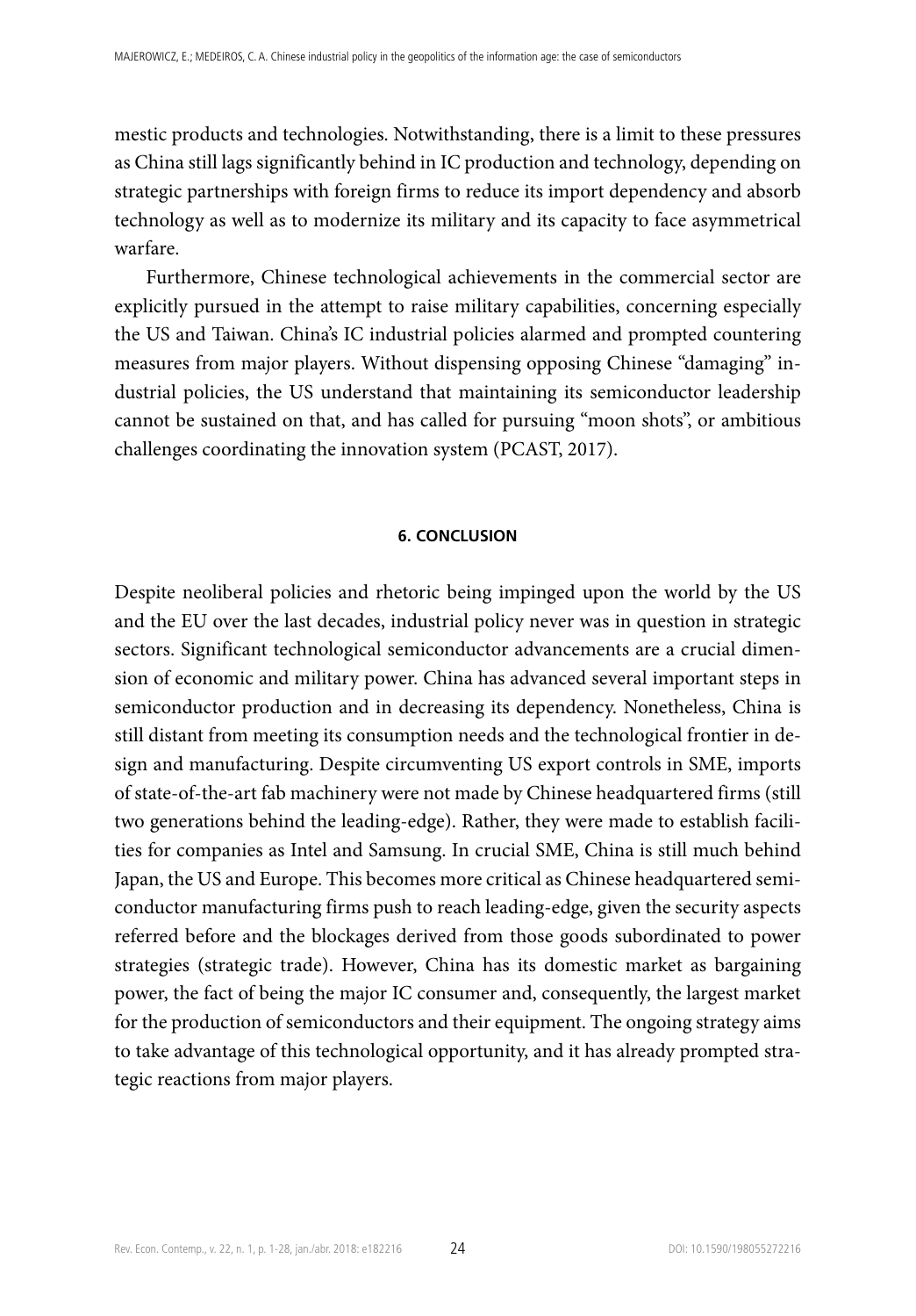mestic products and technologies. Notwithstanding, there is a limit to these pressures as China still lags significantly behind in IC production and technology, depending on strategic partnerships with foreign firms to reduce its import dependency and absorb technology as well as to modernize its military and its capacity to face asymmetrical warfare.

Furthermore, Chinese technological achievements in the commercial sector are explicitly pursued in the attempt to raise military capabilities, concerning especially the US and Taiwan. China's IC industrial policies alarmed and prompted countering measures from major players. Without dispensing opposing Chinese "damaging" industrial policies, the US understand that maintaining its semiconductor leadership cannot be sustained on that, and has called for pursuing "moon shots", or ambitious challenges coordinating the innovation system (PCAST, 2017).

#### **6. CONCLUSION**

Despite neoliberal policies and rhetoric being impinged upon the world by the US and the EU over the last decades, industrial policy never was in question in strategic sectors. Significant technological semiconductor advancements are a crucial dimension of economic and military power. China has advanced several important steps in semiconductor production and in decreasing its dependency. Nonetheless, China is still distant from meeting its consumption needs and the technological frontier in design and manufacturing. Despite circumventing US export controls in SME, imports of state-of-the-art fab machinery were not made by Chinese headquartered firms (still two generations behind the leading-edge). Rather, they were made to establish facilities for companies as Intel and Samsung. In crucial SME, China is still much behind Japan, the US and Europe. This becomes more critical as Chinese headquartered semiconductor manufacturing firms push to reach leading-edge, given the security aspects referred before and the blockages derived from those goods subordinated to power strategies (strategic trade). However, China has its domestic market as bargaining power, the fact of being the major IC consumer and, consequently, the largest market for the production of semiconductors and their equipment. The ongoing strategy aims to take advantage of this technological opportunity, and it has already prompted strategic reactions from major players.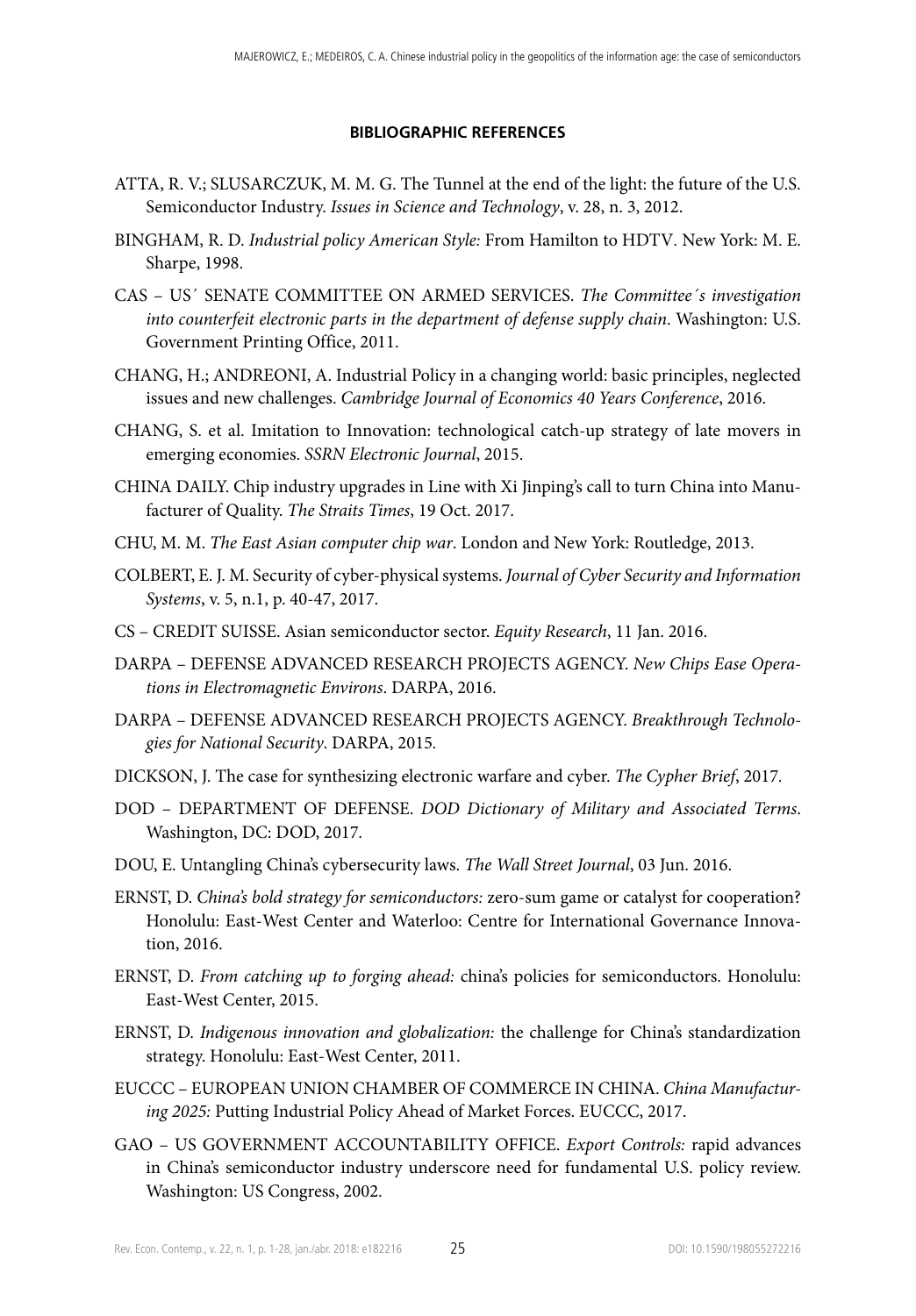### **BIBLIOGRAPHIC REFERENCES**

- ATTA, R. V.; SLUSARCZUK, M. M. G. The Tunnel at the end of the light: the future of the U.S. Semiconductor Industry. *Issues in Science and Technology*, v. 28, n. 3, 2012.
- BINGHAM, R. D. *Industrial policy American Style:* From Hamilton to HDTV*.* New York: M. E. Sharpe, 1998.
- CAS US´ SENATE COMMITTEE ON ARMED SERVICES. *The Committee´s investigation into counterfeit electronic parts in the department of defense supply chain*. Washington: U.S. Government Printing Office, 2011.
- CHANG, H.; ANDREONI, A. Industrial Policy in a changing world: basic principles, neglected issues and new challenges. *Cambridge Journal of Economics 40 Years Conference*, 2016.
- CHANG, S. et al. Imitation to Innovation: technological catch-up strategy of late movers in emerging economies. *SSRN Electronic Journal*, 2015.
- CHINA DAILY. Chip industry upgrades in Line with Xi Jinping's call to turn China into Manufacturer of Quality. *The Straits Times*, 19 Oct. 2017.
- CHU, M. M. *The East Asian computer chip war*. London and New York: Routledge, 2013.
- COLBERT, E. J. M. Security of cyber-physical systems. *Journal of Cyber Security and Information Systems*, v. 5, n.1, p. 40-47, 2017.
- CS CREDIT SUISSE. Asian semiconductor sector. *Equity Research*, 11 Jan. 2016.
- DARPA DEFENSE ADVANCED RESEARCH PROJECTS AGENCY. *New Chips Ease Operations in Electromagnetic Environs*. DARPA, 2016.
- DARPA DEFENSE ADVANCED RESEARCH PROJECTS AGENCY. *Breakthrough Technologies for National Security*. DARPA, 2015*.*
- DICKSON, J. The case for synthesizing electronic warfare and cyber. *The Cypher Brief*, 2017*.*
- DOD DEPARTMENT OF DEFENSE. *DOD Dictionary of Military and Associated Terms*. Washington, DC: DOD, 2017*.*
- DOU, E. Untangling China's cybersecurity laws. *The Wall Street Journal*, 03 Jun. 2016.
- ERNST, D. *China's bold strategy for semiconductors:* zero-sum game or catalyst for cooperation? Honolulu: East-West Center and Waterloo: Centre for International Governance Innovation, 2016.
- ERNST, D. *From catching up to forging ahead:* china's policies for semiconductors. Honolulu: East-West Center, 2015.
- ERNST, D. *Indigenous innovation and globalization:* the challenge for China's standardization strategy. Honolulu: East-West Center, 2011.
- EUCCC EUROPEAN UNION CHAMBER OF COMMERCE IN CHINA. *China Manufacturing 2025:* Putting Industrial Policy Ahead of Market Forces. EUCCC, 2017.
- GAO US GOVERNMENT ACCOUNTABILITY OFFICE. *Export Controls:* rapid advances in China's semiconductor industry underscore need for fundamental U.S. policy review. Washington: US Congress, 2002.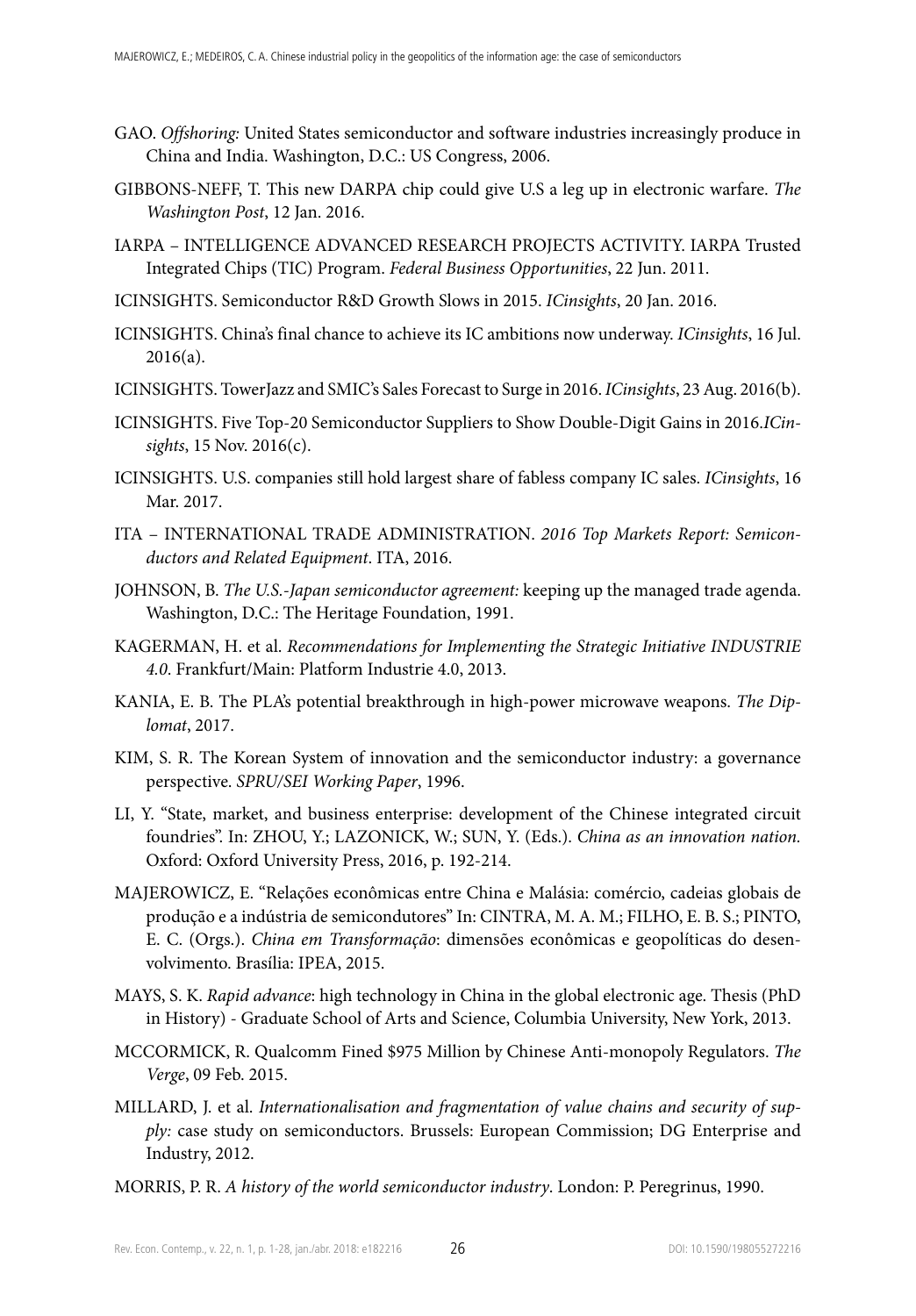- GAO. *Offshoring:* United States semiconductor and software industries increasingly produce in China and India. Washington, D.C.: US Congress, 2006.
- GIBBONS-NEFF, T. This new DARPA chip could give U.S a leg up in electronic warfare. *The Washington Post*, 12 Jan. 2016.
- IARPA INTELLIGENCE ADVANCED RESEARCH PROJECTS ACTIVITY. IARPA Trusted Integrated Chips (TIC) Program. *Federal Business Opportunities*, 22 Jun. 2011.
- ICINSIGHTS. Semiconductor R&D Growth Slows in 2015. *ICinsights*, 20 Jan. 2016.
- ICINSIGHTS. China's final chance to achieve its IC ambitions now underway. *ICinsights*, 16 Jul. 2016(a).
- ICINSIGHTS. TowerJazz and SMIC's Sales Forecast to Surge in 2016. *ICinsights*, 23 Aug. 2016(b).
- ICINSIGHTS. Five Top-20 Semiconductor Suppliers to Show Double-Digit Gains in 2016.*ICinsights*, 15 Nov. 2016(c).
- ICINSIGHTS. U.S. companies still hold largest share of fabless company IC sales. *ICinsights*, 16 Mar. 2017.
- ITA INTERNATIONAL TRADE ADMINISTRATION. *2016 Top Markets Report: Semiconductors and Related Equipment*. ITA, 2016.
- JOHNSON, B. *The U.S.-Japan semiconductor agreement:* keeping up the managed trade agenda. Washington, D.C.: The Heritage Foundation, 1991.
- KAGERMAN, H. et al. *Recommendations for Implementing the Strategic Initiative INDUSTRIE 4.0*. Frankfurt/Main: Platform Industrie 4.0, 2013.
- KANIA, E. B. The PLA's potential breakthrough in high-power microwave weapons. *The Diplomat*, 2017.
- KIM, S. R. The Korean System of innovation and the semiconductor industry: a governance perspective. *SPRU/SEI Working Paper*, 1996.
- LI, Y. "State, market, and business enterprise: development of the Chinese integrated circuit foundries". In: ZHOU, Y.; LAZONICK, W.; SUN, Y. (Eds.). *China as an innovation nation.* Oxford: Oxford University Press, 2016, p. 192-214.
- MAJEROWICZ, E. "Relações econômicas entre China e Malásia: comércio, cadeias globais de produção e a indústria de semicondutores" In: CINTRA, M. A. M.; FILHO, E. B. S.; PINTO, E. C. (Orgs.). *China em Transformação*: dimensões econômicas e geopolíticas do desenvolvimento. Brasília: IPEA, 2015.
- MAYS, S. K. *Rapid advance*: high technology in China in the global electronic age. Thesis (PhD in History) - Graduate School of Arts and Science, Columbia University, New York, 2013.
- MCCORMICK, R. Qualcomm Fined \$975 Million by Chinese Anti-monopoly Regulators. *The Verge*, 09 Feb. 2015.
- MILLARD, J. et al. *Internationalisation and fragmentation of value chains and security of supply:* case study on semiconductors. Brussels: European Commission; DG Enterprise and Industry, 2012.
- MORRIS, P. R. *A history of the world semiconductor industry*. London: P. Peregrinus, 1990.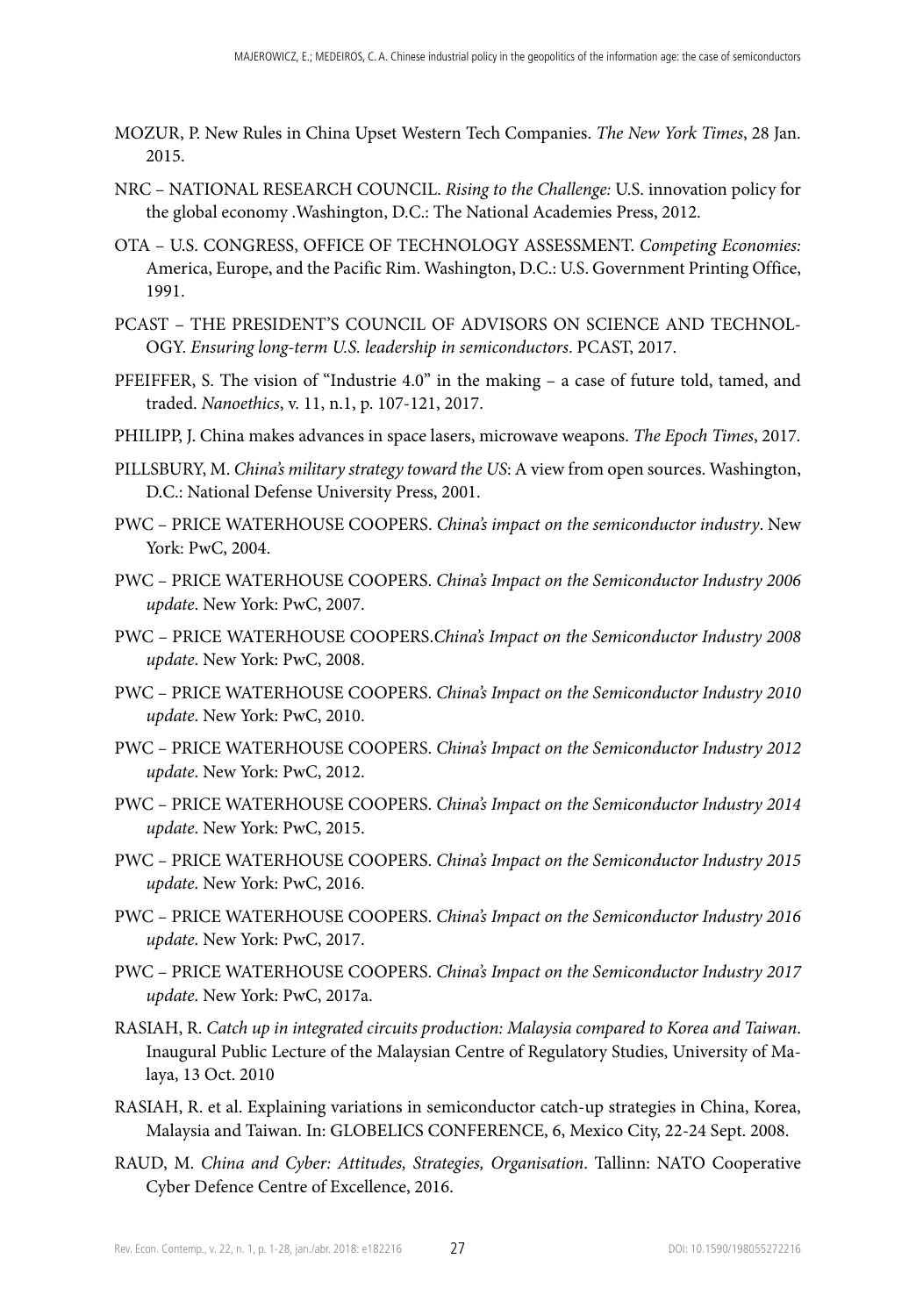- MOZUR, P. New Rules in China Upset Western Tech Companies. *The New York Times*, 28 Jan. 2015.
- NRC NATIONAL RESEARCH COUNCIL. *Rising to the Challenge:* U.S. innovation policy for the global economy .Washington, D.C.: The National Academies Press, 2012.
- OTA U.S. CONGRESS, OFFICE OF TECHNOLOGY ASSESSMENT. *Competing Economies:*  America, Europe, and the Pacific Rim. Washington, D.C.: U.S. Government Printing Office, 1991.
- PCAST THE PRESIDENT'S COUNCIL OF ADVISORS ON SCIENCE AND TECHNOL-OGY. *Ensuring long-term U.S. leadership in semiconductors*. PCAST, 2017.
- PFEIFFER, S. The vision of "Industrie 4.0" in the making a case of future told, tamed, and traded. *Nanoethics*, v. 11, n.1, p. 107-121, 2017.
- PHILIPP, J. China makes advances in space lasers, microwave weapons. *The Epoch Times*, 2017*.*
- PILLSBURY, M. *China's military strategy toward the US*: A view from open sources. Washington, D.C.: National Defense University Press, 2001.
- PWC PRICE WATERHOUSE COOPERS. *China's impact on the semiconductor industry*. New York: PwC, 2004.
- PWC PRICE WATERHOUSE COOPERS. *China's Impact on the Semiconductor Industry 2006 update*. New York: PwC, 2007.
- PWC PRICE WATERHOUSE COOPERS.*China's Impact on the Semiconductor Industry 2008 update*. New York: PwC, 2008.
- PWC PRICE WATERHOUSE COOPERS. *China's Impact on the Semiconductor Industry 2010 update*. New York: PwC, 2010.
- PWC PRICE WATERHOUSE COOPERS. *China's Impact on the Semiconductor Industry 2012 update*. New York: PwC, 2012.
- PWC PRICE WATERHOUSE COOPERS. *China's Impact on the Semiconductor Industry 2014 update*. New York: PwC, 2015.
- PWC PRICE WATERHOUSE COOPERS. *China's Impact on the Semiconductor Industry 2015 update*. New York: PwC, 2016.
- PWC PRICE WATERHOUSE COOPERS. *China's Impact on the Semiconductor Industry 2016 update*. New York: PwC, 2017.
- PWC PRICE WATERHOUSE COOPERS. *China's Impact on the Semiconductor Industry 2017 update*. New York: PwC, 2017a.
- RASIAH, R. *Catch up in integrated circuits production: Malaysia compared to Korea and Taiwan*. Inaugural Public Lecture of the Malaysian Centre of Regulatory Studies, University of Malaya, 13 Oct. 2010
- RASIAH, R. et al. Explaining variations in semiconductor catch-up strategies in China, Korea, Malaysia and Taiwan. In: GLOBELICS CONFERENCE, 6, Mexico City, 22-24 Sept. 2008.
- RAUD, M. *China and Cyber: Attitudes, Strategies, Organisation*. Tallinn: NATO Cooperative Cyber Defence Centre of Excellence, 2016.